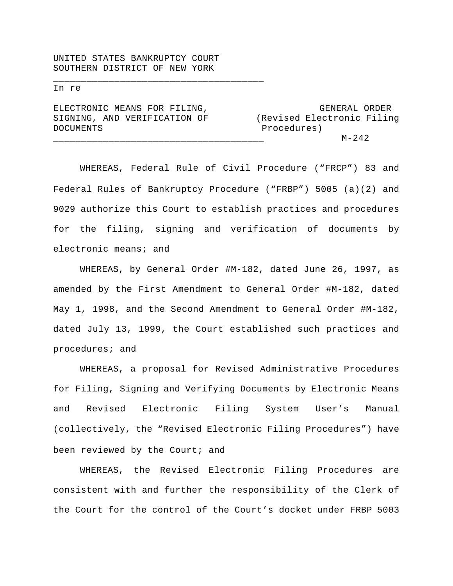UNITED STATES BANKRUPTCY COURT SOUTHERN DISTRICT OF NEW YORK

\_\_\_\_\_\_\_\_\_\_\_\_\_\_\_\_\_\_\_\_\_\_\_\_\_\_\_\_\_\_\_\_\_\_\_\_\_\_

#### In re

| ELECTRONIC MEANS FOR FILING, | GENERAL ORDER              |
|------------------------------|----------------------------|
| SIGNING, AND VERIFICATION OF | (Revised Electronic Filing |
| DOCUMENTS                    | Procedures)                |
|                              | $M - 242$                  |

WHEREAS, Federal Rule of Civil Procedure ("FRCP") 83 and Federal Rules of Bankruptcy Procedure ("FRBP") 5005 (a)(2) and 9029 authorize this Court to establish practices and procedures for the filing, signing and verification of documents by electronic means; and

WHEREAS, by General Order #M-182, dated June 26, 1997, as amended by the First Amendment to General Order #M-182, dated May 1, 1998, and the Second Amendment to General Order #M-182, dated July 13, 1999, the Court established such practices and procedures; and

WHEREAS, a proposal for Revised Administrative Procedures for Filing, Signing and Verifying Documents by Electronic Means and Revised Electronic Filing System User's Manual (collectively, the "Revised Electronic Filing Procedures") have been reviewed by the Court; and

WHEREAS, the Revised Electronic Filing Procedures are consistent with and further the responsibility of the Clerk of the Court for the control of the Court's docket under FRBP 5003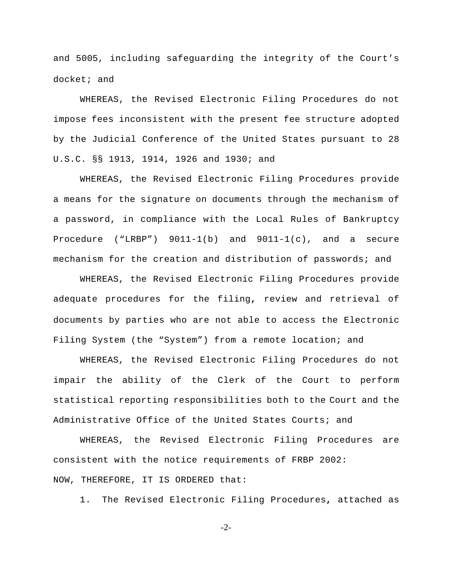and 5005, including safeguarding the integrity of the Court's docket; and

WHEREAS, the Revised Electronic Filing Procedures do not impose fees inconsistent with the present fee structure adopted by the Judicial Conference of the United States pursuant to 28 U.S.C. §§ 1913, 1914, 1926 and 1930; and

WHEREAS, the Revised Electronic Filing Procedures provide a means for the signature on documents through the mechanism of a password, in compliance with the Local Rules of Bankruptcy Procedure ("LRBP") 9011-1(b) and 9011-1(c), and a secure mechanism for the creation and distribution of passwords; and

WHEREAS, the Revised Electronic Filing Procedures provide adequate procedures for the filing**,** review and retrieval of documents by parties who are not able to access the Electronic Filing System (the "System") from a remote location; and

WHEREAS, the Revised Electronic Filing Procedures do not impair the ability of the Clerk of the Court to perform statistical reporting responsibilities both to the Court and the Administrative Office of the United States Courts; and

WHEREAS, the Revised Electronic Filing Procedures are consistent with the notice requirements of FRBP 2002: NOW, THEREFORE, IT IS ORDERED that:

1. The Revised Electronic Filing Procedures**,** attached as

-2-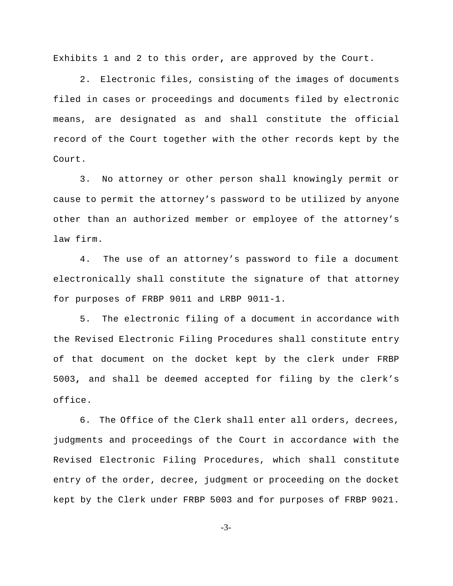Exhibits 1 and 2 to this order**,** are approved by the Court.

2. Electronic files, consisting of the images of documents filed in cases or proceedings and documents filed by electronic means, are designated as and shall constitute the official record of the Court together with the other records kept by the Court.

3. No attorney or other person shall knowingly permit or cause to permit the attorney's password to be utilized by anyone other than an authorized member or employee of the attorney's law firm.

4. The use of an attorney's password to file a document electronically shall constitute the signature of that attorney for purposes of FRBP 9011 and LRBP 9011-1.

5. The electronic filing of a document in accordance with the Revised Electronic Filing Procedures shall constitute entry of that document on the docket kept by the clerk under FRBP 5003**,** and shall be deemed accepted for filing by the clerk's office.

6. The Office of the Clerk shall enter all orders, decrees, judgments and proceedings of the Court in accordance with the Revised Electronic Filing Procedures, which shall constitute entry of the order, decree, judgment or proceeding on the docket kept by the Clerk under FRBP 5003 and for purposes of FRBP 9021.

-3-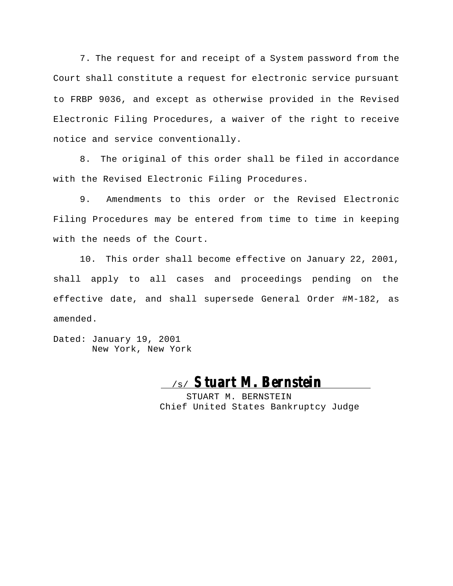7. The request for and receipt of a System password from the Court shall constitute a request for electronic service pursuant to FRBP 9036, and except as otherwise provided in the Revised Electronic Filing Procedures, a waiver of the right to receive notice and service conventionally.

8. The original of this order shall be filed in accordance with the Revised Electronic Filing Procedures.

9. Amendments to this order or the Revised Electronic Filing Procedures may be entered from time to time in keeping with the needs of the Court.

10. This order shall become effective on January 22, 2001, shall apply to all cases and proceedings pending on the effective date, and shall supersede General Order #M-182, as amended.

Dated: January 19, 2001 New York, New York

# /s/ **Stuart M. Bernstein**

STUART M. BERNSTEIN Chief United States Bankruptcy Judge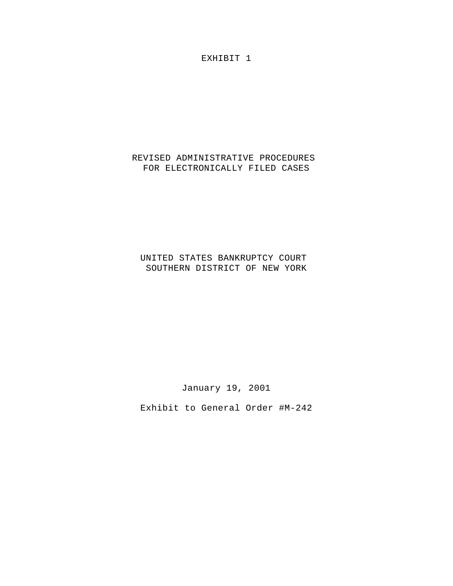EXHIBIT 1

#### REVISED ADMINISTRATIVE PROCEDURES FOR ELECTRONICALLY FILED CASES

#### UNITED STATES BANKRUPTCY COURT SOUTHERN DISTRICT OF NEW YORK

January 19, 2001

Exhibit to General Order #M-242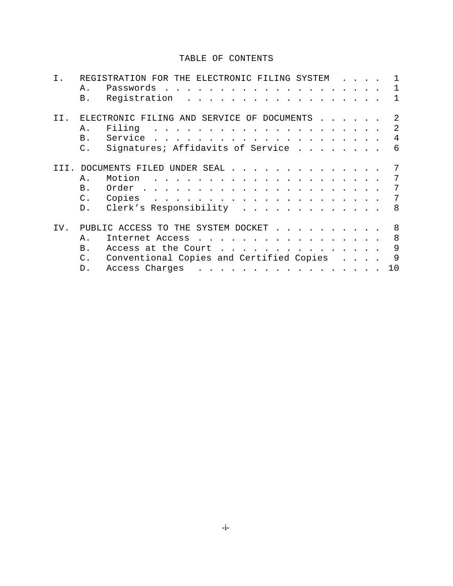#### TABLE OF CONTENTS

|     |                | REGISTRATION FOR<br>THE ELECTRONIC FILING SYSTEM                                                                                                                                                                                             |    |
|-----|----------------|----------------------------------------------------------------------------------------------------------------------------------------------------------------------------------------------------------------------------------------------|----|
|     | Α.             | Passwords<br>and the state of the state                                                                                                                                                                                                      | ı  |
|     | В.             | Registration<br>$\mathbf{r} = \mathbf{r} \cdot \mathbf{r}$ and $\mathbf{r} = \mathbf{r} \cdot \mathbf{r}$                                                                                                                                    | 1  |
| TT. |                | ELECTRONIC FILING AND SERVICE OF DOCUMENTS                                                                                                                                                                                                   | 2  |
|     | Α.             | Filing                                                                                                                                                                                                                                       | 2  |
|     | B.             | Service<br>$\mathbf{r}$ . The state of the state of the state of the state of the state of the state of the state of the state of the state of the state of the state of the state of the state of the state of the state of the state of th | 4  |
|     | $\mathsf{C}$ . | Signatures; Affidavits of Service                                                                                                                                                                                                            | 6  |
|     |                | DOCUMENTS FILED UNDER SEAL .                                                                                                                                                                                                                 | 7  |
|     | Α.             | Motion<br>$\sim$ $\sim$ $\sim$ $\sim$ $\sim$ $\sim$                                                                                                                                                                                          | 7  |
|     | Β.             | Order<br>$\mathbf{r}$ , $\mathbf{r}$ , $\mathbf{r}$ , $\mathbf{r}$ , $\mathbf{r}$<br><b><i>Contract Contract State</i></b>                                                                                                                   | 7  |
|     | С.             | Copies<br>$\sim$ $\sim$ $\sim$ $\sim$ $\sim$<br>$\sim$ $\sim$ $\sim$ $\sim$ $\sim$                                                                                                                                                           | 7  |
|     | D.             | Clerk's Responsibility                                                                                                                                                                                                                       | 8  |
| IV. |                | PUBLIC ACCESS TO THE SYSTEM DOCKET                                                                                                                                                                                                           | 8  |
|     | Α.             | Internet Access                                                                                                                                                                                                                              | 8  |
|     | $B$ .          | Access at the Court<br>$\mathbb{R}^n \times \mathbb{R}^n$<br>$\mathbf{r}$ . The state of the state $\mathbf{r}$ is the state of the state of the state $\mathbf{r}$                                                                          | 9  |
|     | $\mathsf{C}$ . | Conventional Copies and Certified Copies                                                                                                                                                                                                     | 9  |
|     | D.             | Access Charges<br>. The contract of the contract of the contract of the contract of the contract of the $\mathcal{A}$                                                                                                                        | 10 |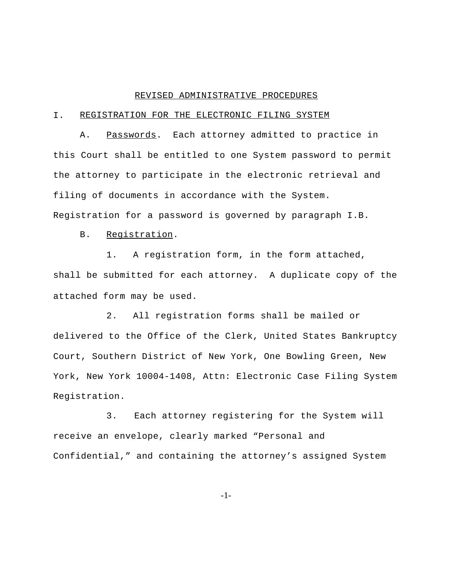#### REVISED ADMINISTRATIVE PROCEDURES

#### I. REGISTRATION FOR THE ELECTRONIC FILING SYSTEM

A. Passwords. Each attorney admitted to practice in this Court shall be entitled to one System password to permit the attorney to participate in the electronic retrieval and filing of documents in accordance with the System. Registration for a password is governed by paragraph I.B.

#### B. Registration.

1. A registration form, in the form attached, shall be submitted for each attorney. A duplicate copy of the attached form may be used.

2. All registration forms shall be mailed or delivered to the Office of the Clerk, United States Bankruptcy Court, Southern District of New York, One Bowling Green, New York, New York 10004-1408, Attn: Electronic Case Filing System Registration.

3. Each attorney registering for the System will receive an envelope, clearly marked "Personal and Confidential," and containing the attorney's assigned System

-1-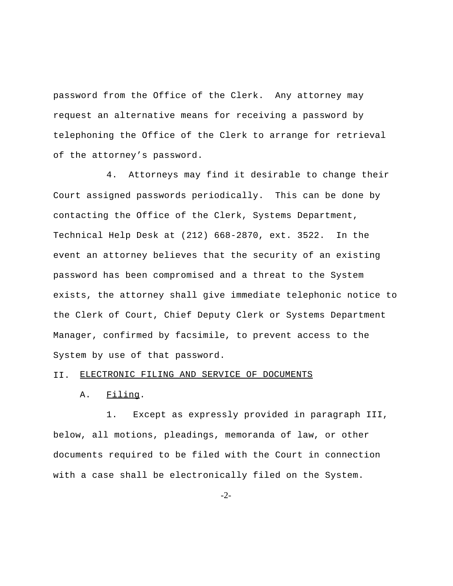password from the Office of the Clerk. Any attorney may request an alternative means for receiving a password by telephoning the Office of the Clerk to arrange for retrieval of the attorney's password.

4. Attorneys may find it desirable to change their Court assigned passwords periodically. This can be done by contacting the Office of the Clerk, Systems Department, Technical Help Desk at (212) 668-2870, ext. 3522. In the event an attorney believes that the security of an existing password has been compromised and a threat to the System exists, the attorney shall give immediate telephonic notice to the Clerk of Court, Chief Deputy Clerk or Systems Department Manager, confirmed by facsimile, to prevent access to the System by use of that password.

#### II. ELECTRONIC FILING AND SERVICE OF DOCUMENTS

A. Filing.

1. Except as expressly provided in paragraph III, below, all motions, pleadings, memoranda of law, or other documents required to be filed with the Court in connection with a case shall be electronically filed on the System.

-2-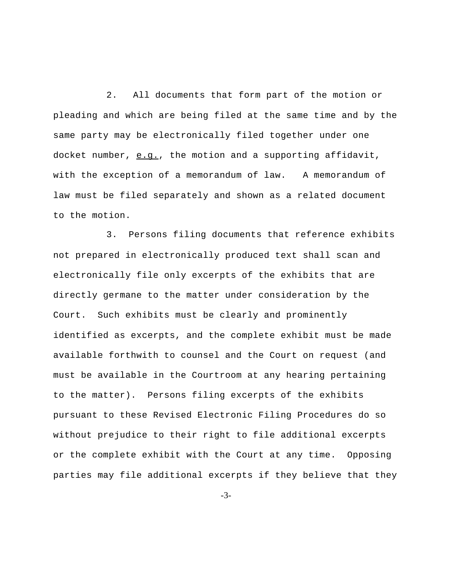2. All documents that form part of the motion or pleading and which are being filed at the same time and by the same party may be electronically filed together under one docket number, e.g., the motion and a supporting affidavit, with the exception of a memorandum of law. A memorandum of law must be filed separately and shown as a related document to the motion.

3. Persons filing documents that reference exhibits not prepared in electronically produced text shall scan and electronically file only excerpts of the exhibits that are directly germane to the matter under consideration by the Court. Such exhibits must be clearly and prominently identified as excerpts, and the complete exhibit must be made available forthwith to counsel and the Court on request (and must be available in the Courtroom at any hearing pertaining to the matter). Persons filing excerpts of the exhibits pursuant to these Revised Electronic Filing Procedures do so without prejudice to their right to file additional excerpts or the complete exhibit with the Court at any time. Opposing parties may file additional excerpts if they believe that they

-3-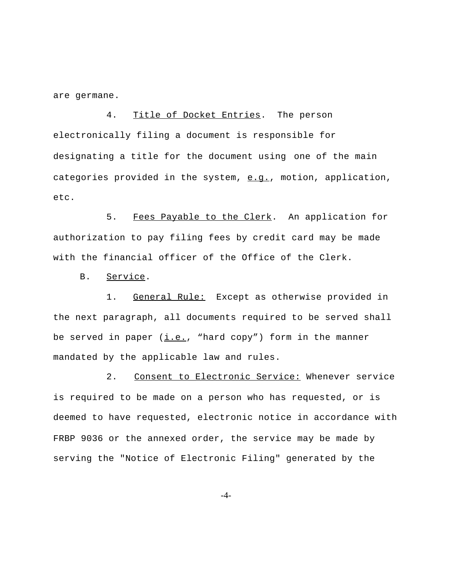are germane.

4. Title of Docket Entries. The person electronically filing a document is responsible for designating a title for the document using one of the main categories provided in the system,  $e.q.$ , motion, application, etc.

5. Fees Payable to the Clerk. An application for authorization to pay filing fees by credit card may be made with the financial officer of the Office of the Clerk.

B. Service.

1. General Rule: Except as otherwise provided in the next paragraph, all documents required to be served shall be served in paper  $(i.e., "hard copy")$  form in the manner mandated by the applicable law and rules.

2. Consent to Electronic Service: Whenever service is required to be made on a person who has requested, or is deemed to have requested, electronic notice in accordance with FRBP 9036 or the annexed order, the service may be made by serving the "Notice of Electronic Filing" generated by the

-4-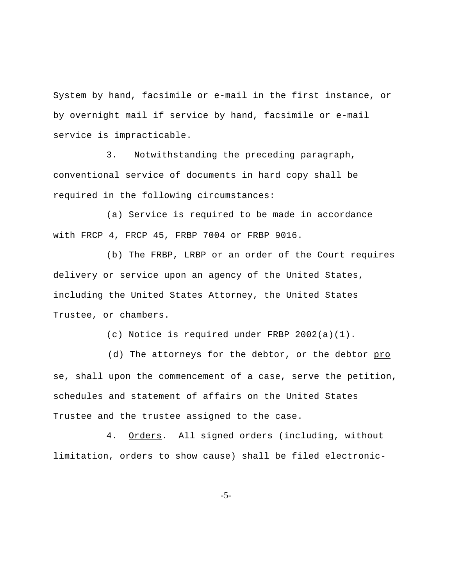System by hand, facsimile or e-mail in the first instance, or by overnight mail if service by hand, facsimile or e-mail service is impracticable.

3. Notwithstanding the preceding paragraph, conventional service of documents in hard copy shall be required in the following circumstances:

(a) Service is required to be made in accordance with FRCP 4, FRCP 45, FRBP 7004 or FRBP 9016.

(b) The FRBP, LRBP or an order of the Court requires delivery or service upon an agency of the United States, including the United States Attorney, the United States Trustee, or chambers.

(c) Notice is required under FRBP 2002(a)(1).

(d) The attorneys for the debtor, or the debtor pro se, shall upon the commencement of a case, serve the petition, schedules and statement of affairs on the United States Trustee and the trustee assigned to the case.

4. Orders. All signed orders (including, without limitation, orders to show cause) shall be filed electronic-

-5-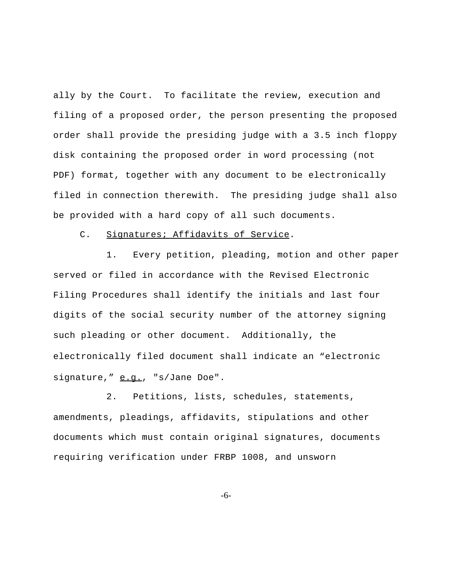ally by the Court. To facilitate the review, execution and filing of a proposed order, the person presenting the proposed order shall provide the presiding judge with a 3.5 inch floppy disk containing the proposed order in word processing (not PDF) format, together with any document to be electronically filed in connection therewith. The presiding judge shall also be provided with a hard copy of all such documents.

#### C. Signatures; Affidavits of Service.

1. Every petition, pleading, motion and other paper served or filed in accordance with the Revised Electronic Filing Procedures shall identify the initials and last four digits of the social security number of the attorney signing such pleading or other document.Additionally, the electronically filed document shall indicate an "electronic signature," e.g., "s/Jane Doe".

2. Petitions, lists, schedules, statements, amendments, pleadings, affidavits, stipulations and other documents which must contain original signatures, documents requiring verification under FRBP 1008, and unsworn

-6-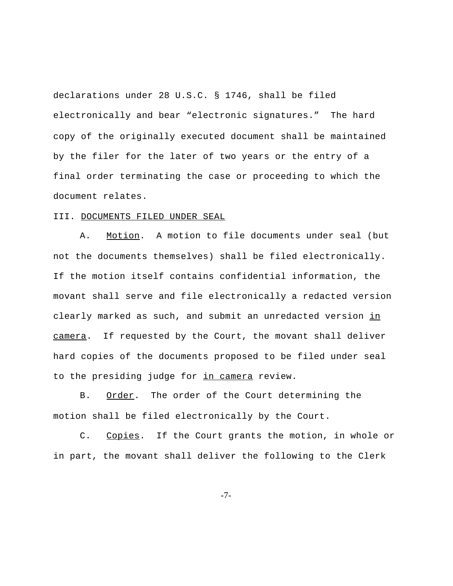declarations under 28 U.S.C. § 1746, shall be filed electronically and bear "electronic signatures." The hard copy of the originally executed document shall be maintained by the filer for the later of two years or the entry of a final order terminating the case or proceeding to which the document relates.

#### III. DOCUMENTS FILED UNDER SEAL

A. Motion. A motion to file documents under seal (but not the documents themselves) shall be filed electronically. If the motion itself contains confidential information, the movant shall serve and file electronically a redacted version clearly marked as such, and submit an unredacted version in camera. If requested by the Court, the movant shall deliver hard copies of the documents proposed to be filed under seal to the presiding judge for in camera review.

B. Order. The order of the Court determining the motion shall be filed electronically by the Court.

C. Copies. If the Court grants the motion, in whole or in part, the movant shall deliver the following to the Clerk

-7-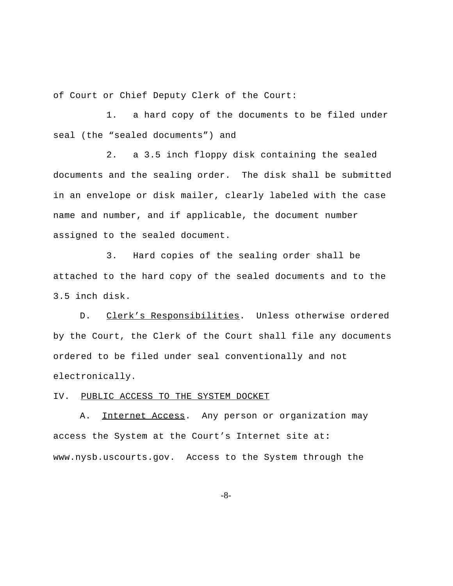of Court or Chief Deputy Clerk of the Court:

1. a hard copy of the documents to be filed under seal (the "sealed documents") and

2. a 3.5 inch floppy disk containing the sealed documents and the sealing order. The disk shall be submitted in an envelope or disk mailer, clearly labeled with the case name and number, and if applicable, the document number assigned to the sealed document.

3. Hard copies of the sealing order shall be attached to the hard copy of the sealed documents and to the 3.5 inch disk.

D. Clerk's Responsibilities. Unless otherwise ordered by the Court, the Clerk of the Court shall file any documents ordered to be filed under seal conventionally and not electronically.

IV. PUBLIC ACCESS TO THE SYSTEM DOCKET

A. Internet Access. Any person or organization may access the System at the Court's Internet site at**:** www.nysb.uscourts.gov. Access to the System through the

-8-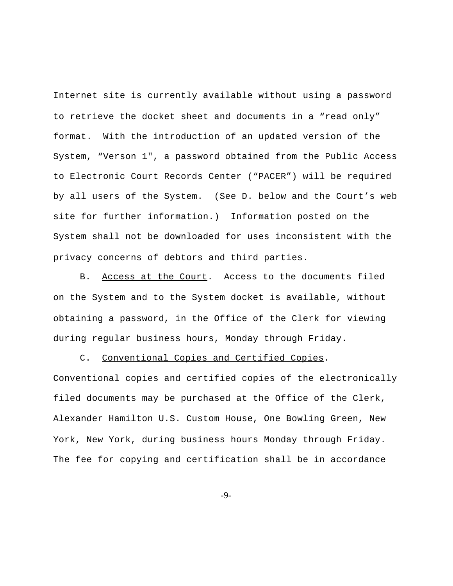Internet site is currently available without using a password to retrieve the docket sheet and documents in a "read only" format. With the introduction of an updated version of the System, "Verson 1", a password obtained from the Public Access to Electronic Court Records Center ("PACER") will be required by all users of the System. (See D. below and the Court's web site for further information.) Information posted on the System shall not be downloaded for uses inconsistent with the privacy concerns of debtors and third parties.

B. Access at the Court. Access to the documents filed on the System and to the System docket is available, without obtaining a password, in the Office of the Clerk for viewing during regular business hours, Monday through Friday.

C. Conventional Copies and Certified Copies.

Conventional copies and certified copies of the electronically filed documents may be purchased at the Office of the Clerk, Alexander Hamilton U.S. Custom House, One Bowling Green, New York, New York, during business hours Monday through Friday. The fee for copying and certification shall be in accordance

-9-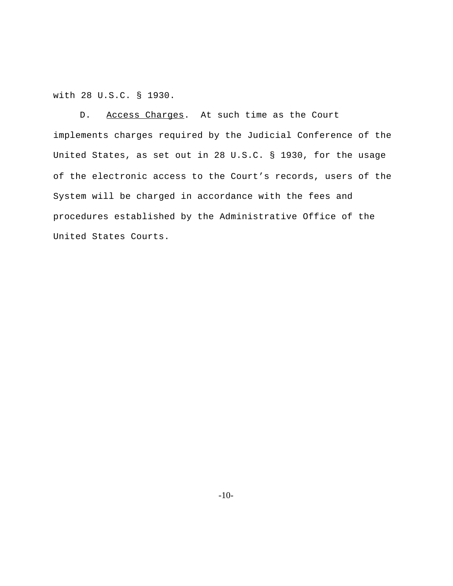with 28 U.S.C. § 1930.

D. Access Charges. At such time as the Court implements charges required by the Judicial Conference of the United States, as set out in 28 U.S.C. § 1930, for the usage of the electronic access to the Court's records, users of the System will be charged in accordance with the fees and procedures established by the Administrative Office of the United States Courts.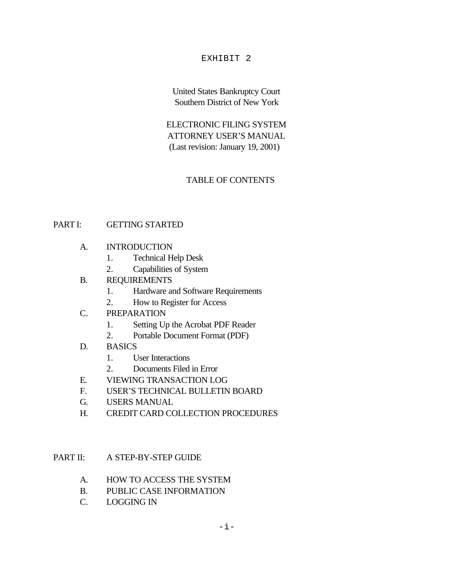#### EXHIBIT 2

United States Bankruptcy Court Southern District of New York

ELECTRONIC FILING SYSTEM ATTORNEY USER'S MANUAL (Last revision: January 19, 2001)

### TABLE OF CONTENTS

#### PART I: GETTING STARTED

- A. INTRODUCTION
	- 1. Technical Help Desk
	- 2. Capabilities of System
- B. REQUIREMENTS
	- 1. Hardware and Software Requirements
	- 2. How to Register for Access
- C. PREPARATION
	- 1. Setting Up the Acrobat PDF Reader
	- 2. Portable Document Format (PDF)
- D. BASICS
	- 1. User Interactions
	- 2. Documents Filed in Error
- E. VIEWING TRANSACTION LOG
- F. USER'S TECHNICAL BULLETIN BOARD
- G. USERS MANUAL
- H. CREDIT CARD COLLECTION PROCEDURES

PART II: A STEP-BY-STEP GUIDE

- A. HOW TO ACCESS THE SYSTEM
- B. PUBLIC CASE INFORMATION
- C. LOGGING IN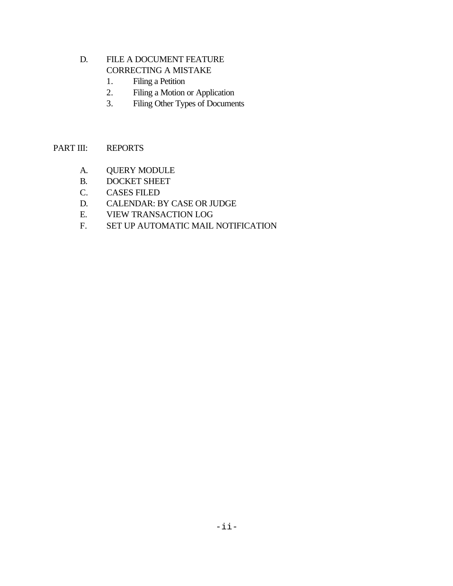#### D. FILE A DOCUMENT FEATURE CORRECTING A MISTAKE

- 1. Filing a Petition
- 2. Filing a Motion or Application
- 3. Filing Other Types of Documents

## PART III: REPORTS

- A. QUERY MODULE
- B. DOCKET SHEET
- C. CASES FILED
- D. CALENDAR: BY CASE OR JUDGE
- E. VIEW TRANSACTION LOG
- F. SET UP AUTOMATIC MAIL NOTIFICATION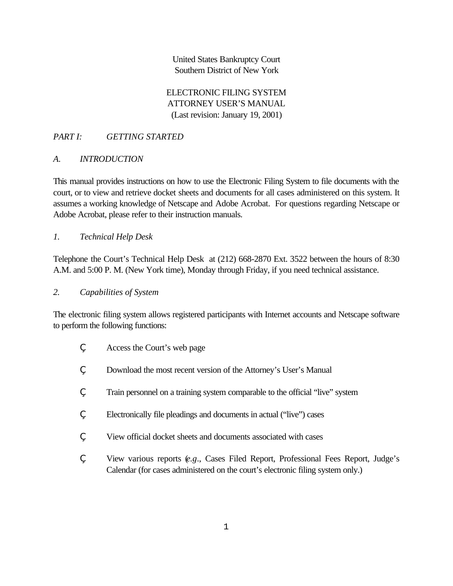United States Bankruptcy Court Southern District of New York

ELECTRONIC FILING SYSTEM ATTORNEY USER'S MANUAL (Last revision: January 19, 2001)

## *PART I: GETTING STARTED*

#### *A. INTRODUCTION*

This manual provides instructions on how to use the Electronic Filing System to file documents with the court, or to view and retrieve docket sheets and documents for all cases administered on this system. It assumes a working knowledge of Netscape and Adobe Acrobat. For questions regarding Netscape or Adobe Acrobat, please refer to their instruction manuals.

#### *1. Technical Help Desk*

Telephone the Court's Technical Help Desk at (212) 668-2870 Ext. 3522 between the hours of 8:30 A.M. and 5:00 P. M. (New York time), Monday through Friday, if you need technical assistance.

#### *2. Capabilities of System*

The electronic filing system allows registered participants with Internet accounts and Netscape software to perform the following functions:

- , Access the Court's web page
- Download the most recent version of the Attorney's User's Manual
- ' Train personnel on a training system comparable to the official "live" system
- ' Electronically file pleadings and documents in actual ("live") cases
- ' View official docket sheets and documents associated with cases
- ' View various reports (*e.g*., Cases Filed Report, Professional Fees Report, Judge's Calendar (for cases administered on the court's electronic filing system only.)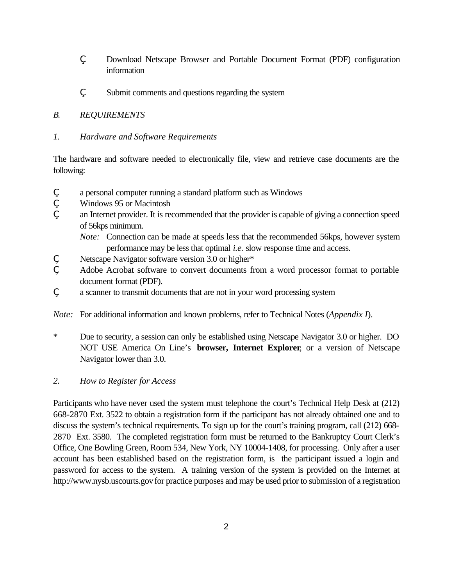- ' Download Netscape Browser and Portable Document Format (PDF) configuration information
- Submit comments and questions regarding the system

#### *B. REQUIREMENTS*

#### *1. Hardware and Software Requirements*

The hardware and software needed to electronically file, view and retrieve case documents are the following:

- ' a personal computer running a standard platform such as Windows
- ' Windows 95 or Macintosh
- an Internet provider. It is recommended that the provider is capable of giving a connection speed of 56kps minimum.
	- *Note:* Connection can be made at speeds less that the recommended 56kps, however system performance may be less that optimal *i.e.* slow response time and access.
- Netscape Navigator software version 3.0 or higher\*
- ' Adobe Acrobat software to convert documents from a word processor format to portable document format (PDF).
- a scanner to transmit documents that are not in your word processing system

*Note:* For additional information and known problems, refer to Technical Notes (*Appendix I*).

- \* Due to security, a session can only be established using Netscape Navigator 3.0 or higher. DO NOT USE America On Line's **browser, Internet Explorer**, or a version of Netscape Navigator lower than 3.0.
- *2. How to Register for Access*

Participants who have never used the system must telephone the court's Technical Help Desk at (212) 668-2870 Ext. 3522 to obtain a registration form if the participant has not already obtained one and to discuss the system's technical requirements. To sign up for the court's training program, call (212) 668- 2870 Ext. 3580. The completed registration form must be returned to the Bankruptcy Court Clerk's Office, One Bowling Green, Room 534, New York, NY 10004-1408, for processing. Only after a user account has been established based on the registration form, is the participant issued a login and password for access to the system. A training version of the system is provided on the Internet at http://www.nysb.uscourts.gov for practice purposes and may be used prior to submission of a registration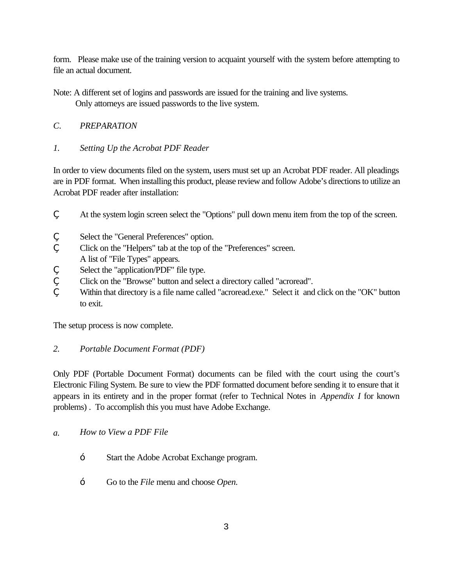form. Please make use of the training version to acquaint yourself with the system before attempting to file an actual document.

Note: A different set of logins and passwords are issued for the training and live systems.

Only attorneys are issued passwords to the live system.

# *C. PREPARATION*

# *1. Setting Up the Acrobat PDF Reader*

In order to view documents filed on the system, users must set up an Acrobat PDF reader. All pleadings are in PDF format. When installing this product, please review and follow Adobe's directions to utilize an Acrobat PDF reader after installation:

- At the system login screen select the "Options" pull down menu item from the top of the screen.
- Select the "General Preferences" option.
- ' Click on the "Helpers" tab at the top of the "Preferences" screen.
- A list of "File Types" appears.
- Select the "application/PDF" file type.
- ' Click on the "Browse" button and select a directory called "acroread".
- Within that directory is a file name called "acroread.exe." Select it and click on the "OK" button to exit.

The setup process is now complete.

# *2. Portable Document Format (PDF)*

Only PDF (Portable Document Format) documents can be filed with the court using the court's Electronic Filing System. Be sure to view the PDF formatted document before sending it to ensure that it appears in its entirety and in the proper format (refer to Technical Notes in *Appendix I* for known problems) . To accomplish this you must have Adobe Exchange.

- *a. How to View a PDF File*
	- Start the Adobe Acrobat Exchange program.
	- Go to the *File* menu and choose *Open.*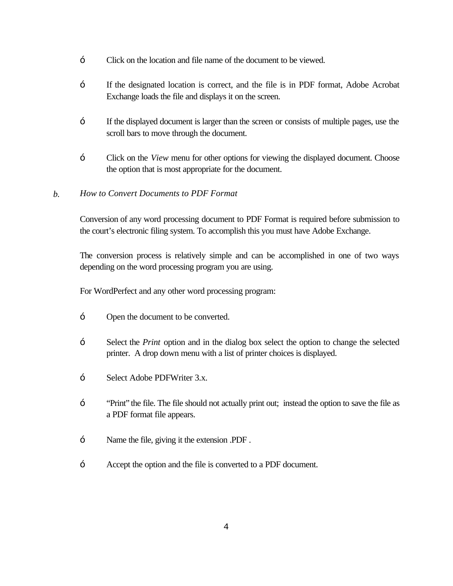- Click on the location and file name of the document to be viewed.
- If the designated location is correct, and the file is in PDF format, Adobe Acrobat Exchange loads the file and displays it on the screen.
- If the displayed document is larger than the screen or consists of multiple pages, use the scroll bars to move through the document.
- Click on the *View* menu for other options for viewing the displayed document. Choose the option that is most appropriate for the document.

#### *b. How to Convert Documents to PDF Format*

Conversion of any word processing document to PDF Format is required before submission to the court's electronic filing system. To accomplish this you must have Adobe Exchange.

The conversion process is relatively simple and can be accomplished in one of two ways depending on the word processing program you are using.

For WordPerfect and any other word processing program:

- Open the document to be converted.
- Select the *Print* option and in the dialog box select the option to change the selected printer. A drop down menu with a list of printer choices is displayed.
- Select Adobe PDFWriter 3.x.
- "Print" the file. The file should not actually print out; instead the option to save the file as a PDF format file appears.
- Name the file, giving it the extension .PDF.
- Accept the option and the file is converted to a PDF document.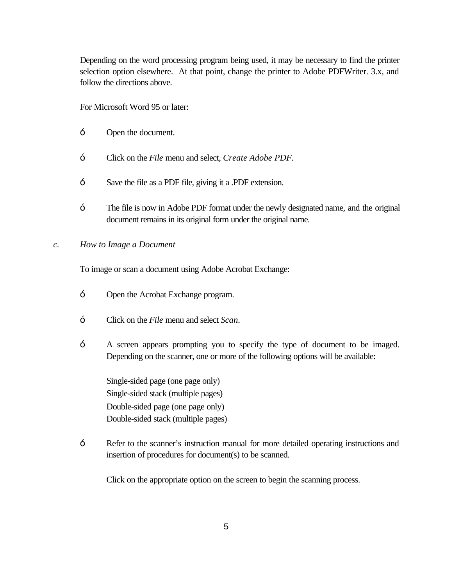Depending on the word processing program being used, it may be necessary to find the printer selection option elsewhere. At that point, change the printer to Adobe PDFWriter. 3.x, and follow the directions above.

For Microsoft Word 95 or later:

- Open the document.
- Click on the *File* menu and select, *Create Adobe PDF.*
- Save the file as a PDF file, giving it a .PDF extension.
- The file is now in Adobe PDF format under the newly designated name, and the original document remains in its original form under the original name.

#### *c. How to Image a Document*

To image or scan a document using Adobe Acrobat Exchange:

- Open the Acrobat Exchange program.
- Click on the *File* menu and select *Scan*.
- A screen appears prompting you to specify the type of document to be imaged. Depending on the scanner, one or more of the following options will be available:

Single-sided page (one page only) Single-sided stack (multiple pages) Double-sided page (one page only) Double-sided stack (multiple pages)

Refer to the scanner's instruction manual for more detailed operating instructions and insertion of procedures for document(s) to be scanned.

Click on the appropriate option on the screen to begin the scanning process.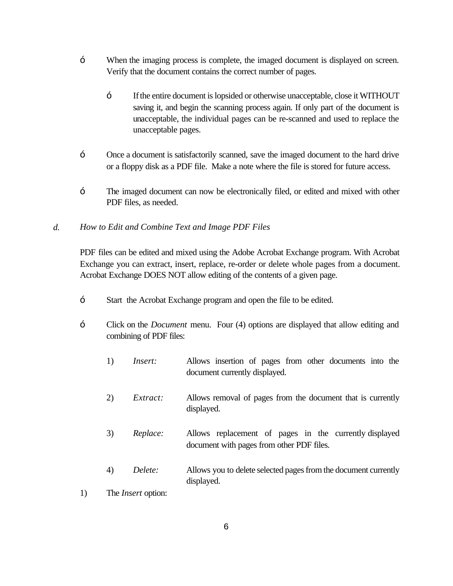- When the imaging process is complete, the imaged document is displayed on screen. Verify that the document contains the correct number of pages.
	- If the entire document is lopsided or otherwise unacceptable, close it WITHOUT saving it, and begin the scanning process again. If only part of the document is unacceptable, the individual pages can be re-scanned and used to replace the unacceptable pages.
- Once a document is satisfactorily scanned, save the imaged document to the hard drive or a floppy disk as a PDF file. Make a note where the file is stored for future access.
- The imaged document can now be electronically filed, or edited and mixed with other PDF files, as needed.
- *d. How to Edit and Combine Text and Image PDF Files*

PDF files can be edited and mixed using the Adobe Acrobat Exchange program. With Acrobat Exchange you can extract, insert, replace, re-order or delete whole pages from a document. Acrobat Exchange DOES NOT allow editing of the contents of a given page.

- Start the Acrobat Exchange program and open the file to be edited.
- Click on the *Document* menu. Four (4) options are displayed that allow editing and combining of PDF files:
	- 1) *Insert:* Allows insertion of pages from other documents into the document currently displayed.
	- 2) *Extract:* Allows removal of pages from the document that is currently displayed.
	- 3) *Replace:* Allows replacement of pages in the currently displayed document with pages from other PDF files.
	- 4) *Delete:* Allows you to delete selected pages from the document currently displayed.
- 1) The *Insert* option: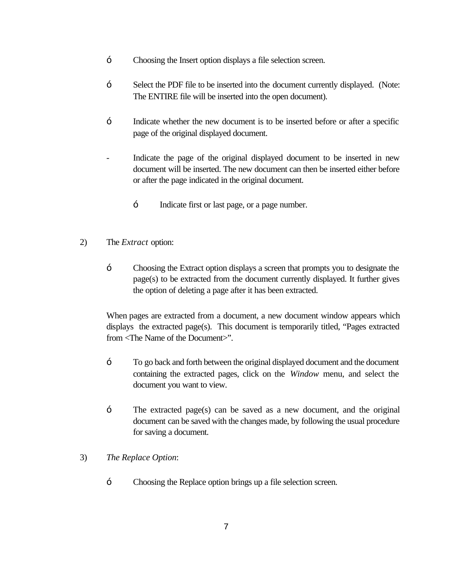- Choosing the Insert option displays a file selection screen.
- Select the PDF file to be inserted into the document currently displayed. (Note: The ENTIRE file will be inserted into the open document).
- Indicate whether the new document is to be inserted before or after a specific page of the original displayed document.
- Indicate the page of the original displayed document to be inserted in new document will be inserted. The new document can then be inserted either before or after the page indicated in the original document.
	- Indicate first or last page, or a page number.
- 2) The *Extract* option:
	- Choosing the Extract option displays a screen that prompts you to designate the page(s) to be extracted from the document currently displayed. It further gives the option of deleting a page after it has been extracted.

When pages are extracted from a document, a new document window appears which displays the extracted page(s). This document is temporarily titled, "Pages extracted from <The Name of the Document>".

- To go back and forth between the original displayed document and the document containing the extracted pages, click on the *Window* menu, and select the document you want to view.
- The extracted page(s) can be saved as a new document, and the original document can be saved with the changes made, by following the usual procedure for saving a document.
- 3) *The Replace Option*:
	- Choosing the Replace option brings up a file selection screen.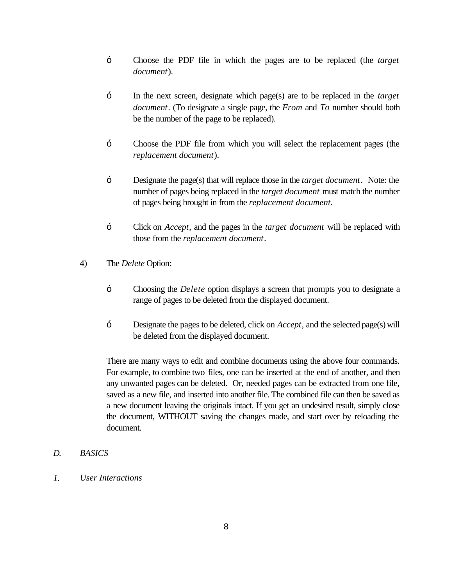- Choose the PDF file in which the pages are to be replaced (the *target document*).
- In the next screen, designate which page(s) are to be replaced in the *target document*. (To designate a single page, the *From* and *To* number should both be the number of the page to be replaced).
- Choose the PDF file from which you will select the replacement pages (the *replacement document*).
- Designate the page(s) that will replace those in the *target document*. Note: the number of pages being replaced in the *target document* must match the number of pages being brought in from the *replacement document.*
- Click on *Accept*, and the pages in the *target document* will be replaced with those from the *replacement document*.
- 4) The *Delete* Option:
	- Choosing the *Delete* option displays a screen that prompts you to designate a range of pages to be deleted from the displayed document.
	- Designate the pages to be deleted, click on *Accept*, and the selected page(s) will be deleted from the displayed document.

There are many ways to edit and combine documents using the above four commands. For example, to combine two files, one can be inserted at the end of another, and then any unwanted pages can be deleted. Or, needed pages can be extracted from one file, saved as a new file, and inserted into another file. The combined file can then be saved as a new document leaving the originals intact. If you get an undesired result, simply close the document, WITHOUT saving the changes made, and start over by reloading the document.

#### *D. BASICS*

*1. User Interactions*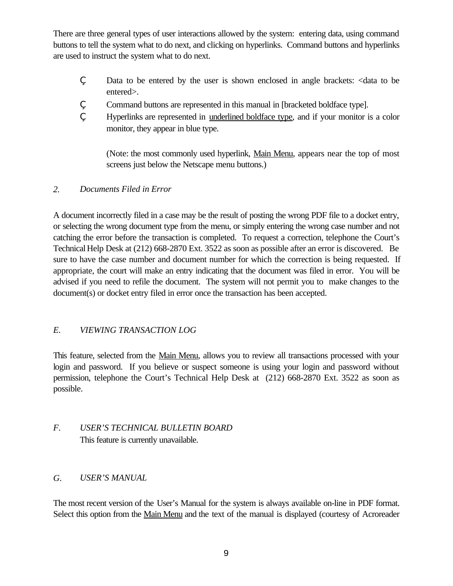There are three general types of user interactions allowed by the system: entering data, using command buttons to tell the system what to do next, and clicking on hyperlinks. Command buttons and hyperlinks are used to instruct the system what to do next.

- ' Data to be entered by the user is shown enclosed in angle brackets: <data to be entered>.
- ' Command buttons are represented in this manual in [bracketed boldface type].
- ' Hyperlinks are represented in underlined boldface type, and if your monitor is a color monitor, they appear in blue type.

(Note: the most commonly used hyperlink, Main Menu, appears near the top of most screens just below the Netscape menu buttons.)

#### *2. Documents Filed in Error*

A document incorrectly filed in a case may be the result of posting the wrong PDF file to a docket entry, or selecting the wrong document type from the menu, or simply entering the wrong case number and not catching the error before the transaction is completed. To request a correction, telephone the Court's Technical Help Desk at (212) 668-2870 Ext. 3522 as soon as possible after an error is discovered. Be sure to have the case number and document number for which the correction is being requested. If appropriate, the court will make an entry indicating that the document was filed in error. You will be advised if you need to refile the document. The system will not permit you to make changes to the document(s) or docket entry filed in error once the transaction has been accepted.

## *E. VIEWING TRANSACTION LOG*

This feature, selected from the Main Menu, allows you to review all transactions processed with your login and password. If you believe or suspect someone is using your login and password without permission, telephone the Court's Technical Help Desk at (212) 668-2870 Ext. 3522 as soon as possible.

# *F. USER'S TECHNICAL BULLETIN BOARD* This feature is currently unavailable.

#### *G. USER'S MANUAL*

The most recent version of the User's Manual for the system is always available on-line in PDF format. Select this option from the Main Menu and the text of the manual is displayed (courtesy of Acroreader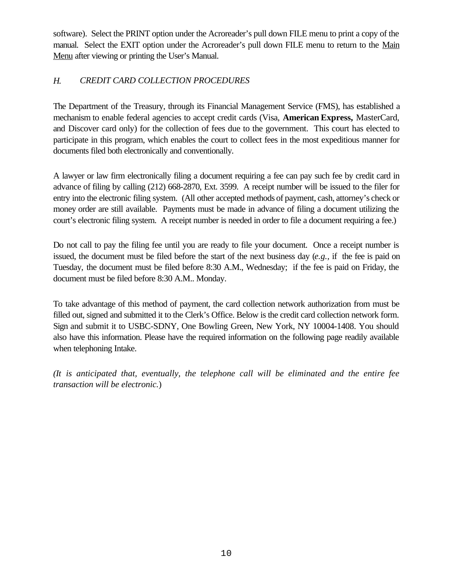software). Select the PRINT option under the Acroreader's pull down FILE menu to print a copy of the manual. Select the EXIT option under the Acroreader's pull down FILE menu to return to the Main Menu after viewing or printing the User's Manual.

### *H. CREDIT CARD COLLECTION PROCEDURES*

The Department of the Treasury, through its Financial Management Service (FMS), has established a mechanism to enable federal agencies to accept credit cards (Visa, **American Express,** MasterCard, and Discover card only) for the collection of fees due to the government. This court has elected to participate in this program, which enables the court to collect fees in the most expeditious manner for documents filed both electronically and conventionally.

A lawyer or law firm electronically filing a document requiring a fee can pay such fee by credit card in advance of filing by calling (212) 668-2870, Ext. 3599. A receipt number will be issued to the filer for entry into the electronic filing system. (All other accepted methods of payment, cash, attorney's check or money order are still available. Payments must be made in advance of filing a document utilizing the court's electronic filing system. A receipt number is needed in order to file a document requiring a fee.)

Do not call to pay the filing fee until you are ready to file your document. Once a receipt number is issued, the document must be filed before the start of the next business day (*e.g.,* if the fee is paid on Tuesday, the document must be filed before 8:30 A.M., Wednesday; if the fee is paid on Friday, the document must be filed before 8:30 A.M.. Monday.

To take advantage of this method of payment, the card collection network authorization from must be filled out, signed and submitted it to the Clerk's Office. Below is the credit card collection network form. Sign and submit it to USBC-SDNY, One Bowling Green, New York, NY 10004-1408. You should also have this information. Please have the required information on the following page readily available when telephoning Intake.

*(It is anticipated that, eventually, the telephone call will be eliminated and the entire fee transaction will be electronic.*)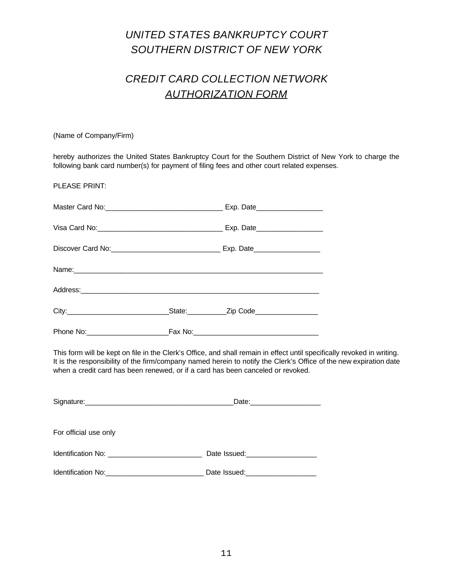# *UNITED STATES BANKRUPTCY COURT SOUTHERN DISTRICT OF NEW YORK*

# *CREDIT CARD COLLECTION NETWORK AUTHORIZATION FORM*

(Name of Company/Firm)

hereby authorizes the United States Bankruptcy Court for the Southern District of New York to charge the following bank card number(s) for payment of filing fees and other court related expenses.

PLEASE PRINT:

| Name: Name: |  |
|-------------|--|
|             |  |
|             |  |
|             |  |

This form will be kept on file in the Clerk's Office, and shall remain in effect until specifically revoked in writing. It is the responsibility of the firm/company named herein to notify the Clerk's Office of the new expiration date when a credit card has been renewed, or if a card has been canceled or revoked.

| For official use only                |                                  |  |
|--------------------------------------|----------------------------------|--|
|                                      |                                  |  |
| Identification No: <b>Example 10</b> | Date Issued: <b>Example 2019</b> |  |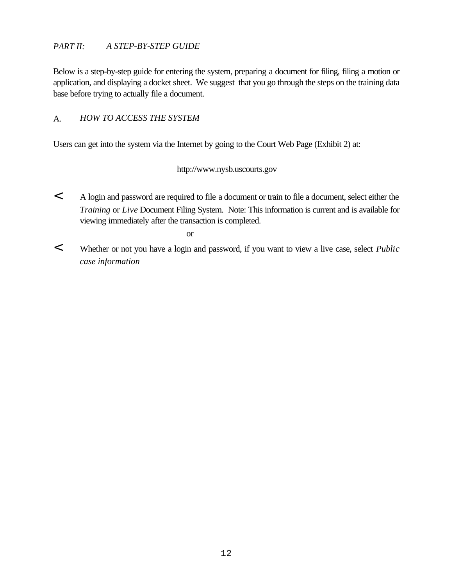#### *PART II: A STEP-BY-STEP GUIDE*

Below is a step-by-step guide for entering the system, preparing a document for filing, filing a motion or application, and displaying a docket sheet. We suggest that you go through the steps on the training data base before trying to actually file a document.

#### A. *HOW TO ACCESS THE SYSTEM*

Users can get into the system via the Internet by going to the Court Web Page (Exhibit 2) at:

#### http://www.nysb.uscourts.gov

< A login and password are required to file a document or train to file a document, select either the *Training* or *Live* Document Filing System. Note: This information is current and is available for viewing immediately after the transaction is completed.

or

< Whether or not you have a login and password, if you want to view a live case, select *Public case information*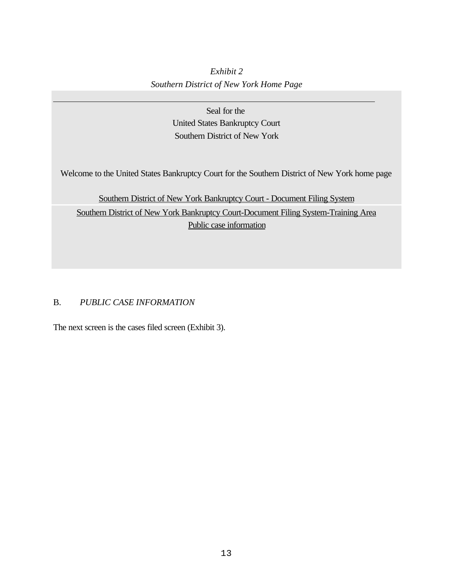# *Exhibit 2 Southern District of New York Home Page*

Seal for the United States Bankruptcy Court Southern District of New York

Welcome to the United States Bankruptcy Court for the Southern District of New York home page

Southern District of New York Bankruptcy Court - Document Filing System Southern District of New York Bankruptcy Court-Document Filing System-Training Area Public case information

### B. *PUBLIC CASE INFORMATION*

 $\overline{a}$ 

The next screen is the cases filed screen (Exhibit 3).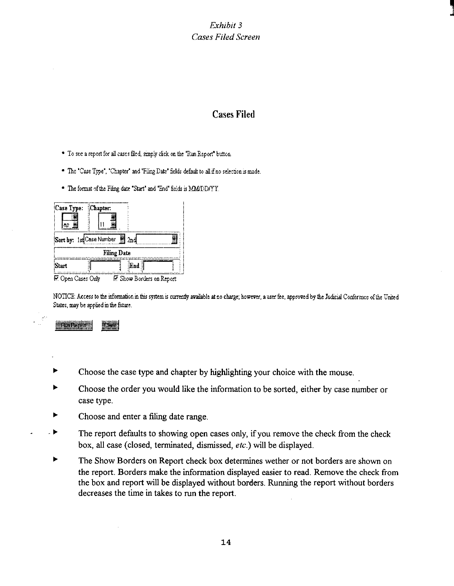Exhibit 3 **Cases Filed Screen** 

# **Cases Filed**

- \* To see a report for all cases filed, simply click on the 'Ran Report' button.
- " The "Case Type", "Chapter" and "Filing Date" fields default to all if no selection is made.
- " The format of the Filing date "Start" and "End" fields is MMIDD/YY.

| Case Type: Chapter:            |  |  |            |  |
|--------------------------------|--|--|------------|--|
| Sort by: 1st Case Number 3 2nd |  |  |            |  |
| <b>Filing Date</b>             |  |  |            |  |
| Start                          |  |  | <b>End</b> |  |

**E.** Open Cases Only **E.** Show Borders on Report

NOTICE: Access to the information in this system is currently available at no charge; however, a user fee, approved by the Judicial Conference of the United States, may be applied in the future.

- Choose the case type and chapter by highlighting your choice with the mouse.
- Choose the order you would like the information to be sorted, either by case number or case type.
- ▶ Choose and enter a filing date range.
- . Þ The report defaults to showing open cases only, if you remove the check from the check box, all case (closed, terminated, dismissed, etc.) will be displayed.
- ▶ The Show Borders on Report check box determines wether or not borders are shown on the report. Borders make the information displayed easier to read. Remove the check from the box and report will be displayed without borders. Running the report without borders decreases the time in takes to run the report.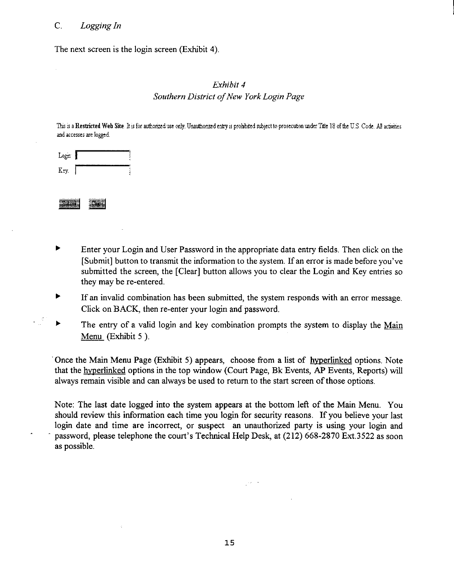#### $C_{\cdot}$ Logging In

The next screen is the login screen (Exhibit 4).

### Exhibit 4 Southern District of New York Login Page

This is a Restricted Web Site. It is for authorized use only. Unauthorized entry is prohibited subject to prosecution under Title 18 of the U.S. Code. All activities and accesses are logged.

| Login |  |
|-------|--|
| Key.  |  |

| <b></b> |  |
|---------|--|
|         |  |
|         |  |
|         |  |
|         |  |
|         |  |
|         |  |
|         |  |
|         |  |
|         |  |

- Enter your Login and User Password in the appropriate data entry fields. Then click on the [Submit] button to transmit the information to the system. If an error is made before you've submitted the screen, the [Clear] button allows you to clear the Login and Key entries so they may be re-entered.
- $\blacktriangleright$ If an invalid combination has been submitted, the system responds with an error message. Click on BACK, then re-enter your login and password.
- $\blacktriangleright$ The entry of a valid login and key combination prompts the system to display the Main Menu (Exhibit 5).

Once the Main Menu Page (Exhibit 5) appears, choose from a list of hyperlinked options. Note that the hyperlinked options in the top window (Court Page, Bk Events, AP Events, Reports) will always remain visible and can always be used to return to the start screen of those options.

Note: The last date logged into the system appears at the bottom left of the Main Menu. You should review this information each time you login for security reasons. If you believe your last login date and time are incorrect, or suspect an unauthorized party is using your login and password, please telephone the court's Technical Help Desk, at (212) 668-2870 Ext.3522 as soon as possible.

 $\mathbb{R}^{n \times n}$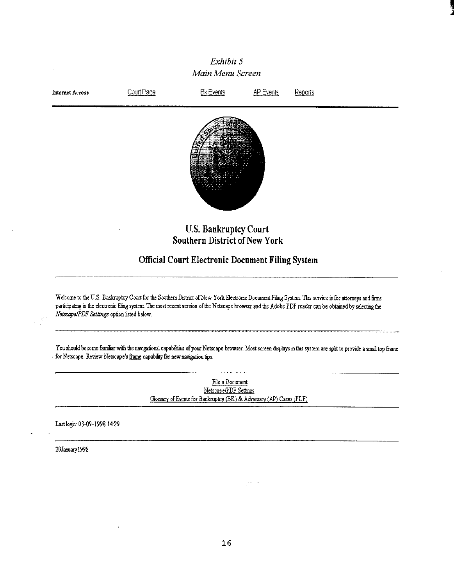

Last login: 03-09-1998 14:29

20January1998

 $16$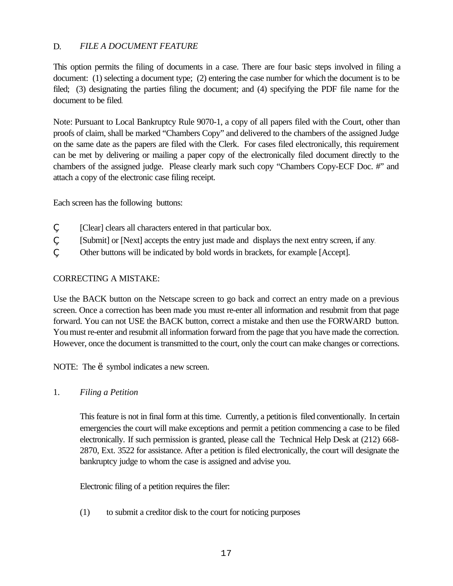### D. *FILE A DOCUMENT FEATURE*

This option permits the filing of documents in a case. There are four basic steps involved in filing a document: (1) selecting a document type; (2) entering the case number for which the document is to be filed; (3) designating the parties filing the document; and (4) specifying the PDF file name for the document to be filed.

Note: Pursuant to Local Bankruptcy Rule 9070-1, a copy of all papers filed with the Court, other than proofs of claim, shall be marked "Chambers Copy" and delivered to the chambers of the assigned Judge on the same date as the papers are filed with the Clerk. For cases filed electronically, this requirement can be met by delivering or mailing a paper copy of the electronically filed document directly to the chambers of the assigned judge. Please clearly mark such copy "Chambers Copy-ECF Doc. #" and attach a copy of the electronic case filing receipt.

Each screen has the following buttons:

- [Clear] clears all characters entered in that particular box.
- [Submit] or [Next] accepts the entry just made and displays the next entry screen, if any.
- Other buttons will be indicated by bold words in brackets, for example [Accept].

### CORRECTING A MISTAKE:

Use the BACK button on the Netscape screen to go back and correct an entry made on a previous screen. Once a correction has been made you must re-enter all information and resubmit from that page forward. You can not USE the BACK button, correct a mistake and then use the FORWARD button. You must re-enter and resubmit all information forward from the page that you have made the correction. However, once the document is transmitted to the court, only the court can make changes or corrections.

NOTE: The ' symbol indicates a new screen.

1. *Filing a Petition*

This feature is not in final form at this time. Currently, a petition is filed conventionally. In certain emergencies the court will make exceptions and permit a petition commencing a case to be filed electronically. If such permission is granted, please call the Technical Help Desk at (212) 668- 2870, Ext. 3522 for assistance. After a petition is filed electronically, the court will designate the bankruptcy judge to whom the case is assigned and advise you.

Electronic filing of a petition requires the filer:

(1) to submit a creditor disk to the court for noticing purposes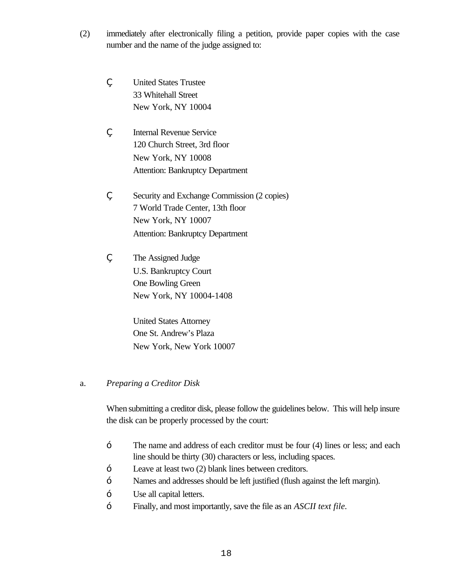- (2) immediately after electronically filing a petition, provide paper copies with the case number and the name of the judge assigned to:
	- ' United States Trustee 33 Whitehall Street New York, NY 10004
		- ' Internal Revenue Service 120 Church Street, 3rd floor New York, NY 10008 Attention: Bankruptcy Department
	- ' Security and Exchange Commission (2 copies) 7 World Trade Center, 13th floor New York, NY 10007 Attention: Bankruptcy Department
	- , The Assigned Judge U.S. Bankruptcy Court One Bowling Green New York, NY 10004-1408

United States Attorney One St. Andrew's Plaza New York, New York 10007

#### a. *Preparing a Creditor Disk*

When submitting a creditor disk, please follow the guidelines below. This will help insure the disk can be properly processed by the court:

- The name and address of each creditor must be four (4) lines or less; and each line should be thirty (30) characters or less, including spaces.
- Leave at least two (2) blank lines between creditors.
- Names and addresses should be left justified (flush against the left margin).
- Use all capital letters.
- Finally, and most importantly, save the file as an *ASCII text file.*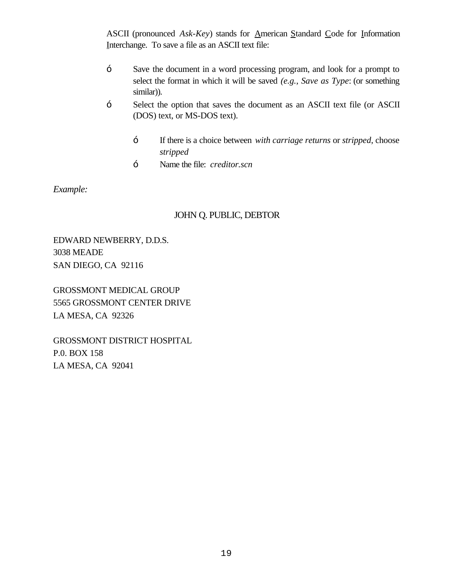ASCII (pronounced *Ask-Key*) stands for <u>A</u>merican Standard Code for Information Interchange. To save a file as an ASCII text file:

- Save the document in a word processing program, and look for a prompt to select the format in which it will be saved *(e.g.*, *Save as Type*: (or something similar)).
- Select the option that saves the document as an ASCII text file (or ASCII (DOS) text, or MS-DOS text).
	- If there is a choice between *with carriage returns* or *stripped*, choose *stripped*
	- Name the file: *creditor.scn*

*Example:*

# JOHN Q. PUBLIC, DEBTOR

EDWARD NEWBERRY, D.D.S. 3038 MEADE SAN DIEGO, CA 92116

GROSSMONT MEDICAL GROUP 5565 GROSSMONT CENTER DRIVE LA MESA, CA 92326

GROSSMONT DISTRICT HOSPITAL P.0. BOX 158 LA MESA, CA 92041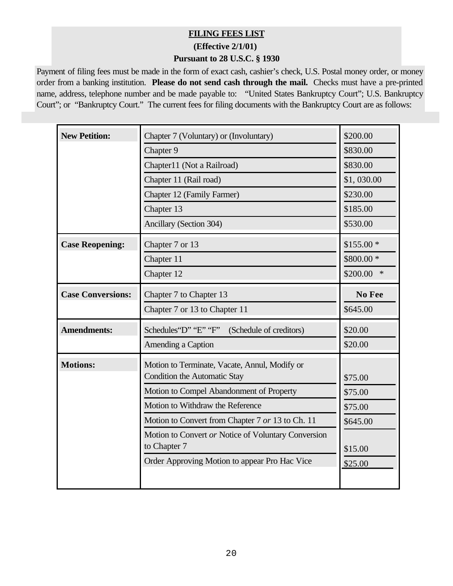# **FILING FEES LIST**

**(Effective 2/1/01)** 

#### **Pursuant to 28 U.S.C. § 1930**

Payment of filing fees must be made in the form of exact cash, cashier's check, U.S. Postal money order, or money order from a banking institution. **Please do not send cash through the mail.** Checks must have a pre-printed name, address, telephone number and be made payable to: "United States Bankruptcy Court"; U.S. Bankruptcy Court"; or "Bankruptcy Court." The current fees for filing documents with the Bankruptcy Court are as follows:

| <b>New Petition:</b>     | Chapter 7 (Voluntary) or (Involuntary)                                        | \$200.00           |
|--------------------------|-------------------------------------------------------------------------------|--------------------|
|                          | Chapter 9                                                                     | \$830.00           |
|                          | Chapter11 (Not a Railroad)                                                    | \$830.00           |
|                          | Chapter 11 (Rail road)                                                        | \$1,030.00         |
|                          | Chapter 12 (Family Farmer)                                                    | \$230.00           |
|                          | Chapter 13                                                                    | \$185.00           |
|                          | Ancillary (Section 304)                                                       | \$530.00           |
| <b>Case Reopening:</b>   | Chapter 7 or 13                                                               | $$155.00*$         |
|                          | Chapter 11                                                                    | \$800.00 *         |
|                          | Chapter 12                                                                    | \$200.00<br>$\ast$ |
| <b>Case Conversions:</b> | Chapter 7 to Chapter 13                                                       | No Fee             |
|                          | Chapter 7 or 13 to Chapter 11                                                 | \$645.00           |
| <b>Amendments:</b>       | Schedules 'D' "E" "F"<br>(Schedule of creditors)                              | \$20.00            |
|                          | Amending a Caption                                                            | \$20.00            |
| <b>Motions:</b>          | Motion to Terminate, Vacate, Annul, Modify or<br>Condition the Automatic Stay | \$75.00            |
|                          | Motion to Compel Abandonment of Property                                      | \$75.00            |
|                          |                                                                               |                    |
|                          | Motion to Withdraw the Reference                                              | \$75.00            |
|                          | Motion to Convert from Chapter 7 or 13 to Ch. 11                              | \$645.00           |
|                          | Motion to Convert or Notice of Voluntary Conversion<br>to Chapter 7           |                    |
|                          | Order Approving Motion to appear Pro Hac Vice                                 | \$15.00<br>\$25.00 |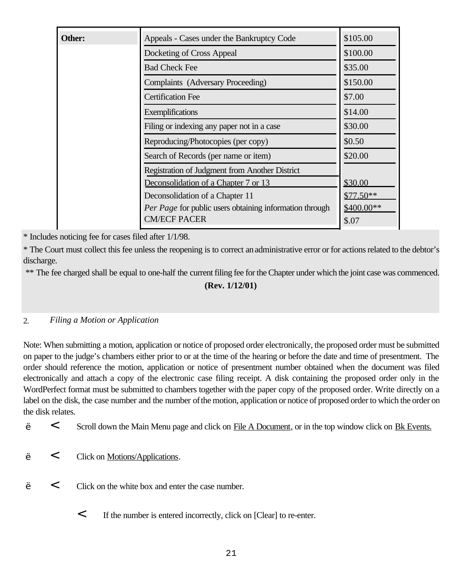| Other: | Appeals - Cases under the Bankruptcy Code               | \$105.00   |
|--------|---------------------------------------------------------|------------|
|        | Docketing of Cross Appeal                               | \$100.00   |
|        | <b>Bad Check Fee</b>                                    | \$35.00    |
|        | Complaints (Adversary Proceeding)                       | \$150.00   |
|        | <b>Certification Fee</b>                                | \$7.00     |
|        | Exemplifications                                        | \$14.00    |
|        | Filing or indexing any paper not in a case              | \$30.00    |
|        | Reproducing/Photocopies (per copy)                      | \$0.50     |
|        | Search of Records (per name or item)                    | \$20.00    |
|        | Registration of Judgment from Another District          |            |
|        | Deconsolidation of a Chapter 7 or 13                    | \$30.00    |
|        | Deconsolidation of a Chapter 11                         | $$77.50**$ |
|        | Per Page for public users obtaining information through | \$400.00** |
|        | <b>CM/ECF PACER</b>                                     | \$.07      |

\* Includes noticing fee for cases filed after 1/1/98.

\* The Court must collect this fee unless the reopening is to correct an administrative error or for actions related to the debtor's discharge.

\*\* The fee charged shall be equal to one-half the current filing fee for the Chapter under which the joint case was commenced.

# **(Rev. 1/12/01)**

#### 2. *Filing a Motion or Application*

Note: When submitting a motion, application or notice of proposed order electronically, the proposed order must be submitted on paper to the judge's chambers either prior to or at the time of the hearing or before the date and time of presentment. The order should reference the motion, application or notice of presentment number obtained when the document was filed electronically and attach a copy of the electronic case filing receipt. A disk containing the proposed order only in the WordPerfect format must be submitted to chambers together with the paper copy of the proposed order. Write directly on a label on the disk, the case number and the number of the motion, application or notice of proposed order to which the order on the disk relates.

- ' < Scroll down the Main Menu page and click on File A Document, or in the top window click on Bk Events.
- < Click on <u>Motions/Applications</u>.
- ' < Click on the white box and enter the case number.
	- < If the number is entered incorrectly, click on [Clear] to re-enter.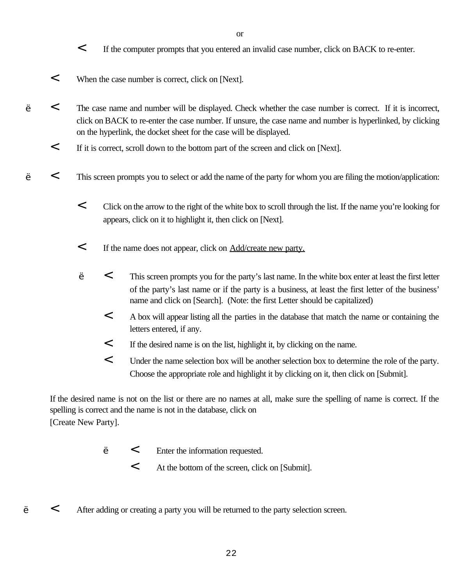- < If the computer prompts that you entered an invalid case number, click on BACK to re-enter.
- < When the case number is correct, click on [Next].
- ' < The case name and number will be displayed. Check whether the case number is correct. If it is incorrect, click on BACK to re-enter the case number. If unsure, the case name and number is hyperlinked, by clicking on the hyperlink, the docket sheet for the case will be displayed.
	- < If it is correct, scroll down to the bottom part of the screen and click on [Next].
	- ' < This screen prompts you to select or add the name of the party for whom you are filing the motion/application:
		- < Click on the arrow to the right of the white box to scroll through the list. If the name you're looking for appears, click on it to highlight it, then click on [Next].
		- < If the name does not appear, click on Add/create new party.
		- ' < This screen prompts you for the party's last name. In the white box enter at least the first letter of the party's last name or if the party is a business, at least the first letter of the business' name and click on [Search]. (Note: the first Letter should be capitalized)
			- < A box will appear listing all the parties in the database that match the name or containing the letters entered, if any.
			- < If the desired name is on the list, highlight it, by clicking on the name.
			- < Under the name selection box will be another selection box to determine the role of the party. Choose the appropriate role and highlight it by clicking on it, then click on [Submit].

If the desired name is not on the list or there are no names at all, make sure the spelling of name is correct. If the spelling is correct and the name is not in the database, click on [Create New Party].

- ' < Enter the information requested.
	- < At the bottom of the screen, click on [Submit].
- < After adding or creating a party you will be returned to the party selection screen.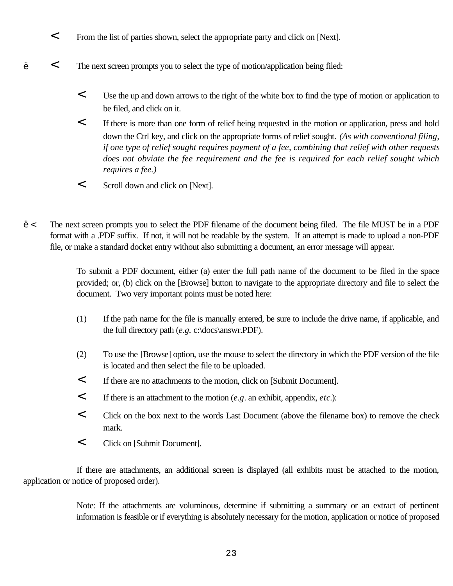- < From the list of parties shown, select the appropriate party and click on [Next].
- ' < The next screen prompts you to select the type of motion/application being filed:
	- < Use the up and down arrows to the right of the white box to find the type of motion or application to be filed, and click on it.
	- < If there is more than one form of relief being requested in the motion or application, press and hold down the Ctrl key, and click on the appropriate forms of relief sought. *(As with conventional filing, if one type of relief sought requires payment of a fee, combining that relief with other requests does not obviate the fee requirement and the fee is required for each relief sought which requires a fee.)*
	- < Scroll down and click on [Next].

'< The next screen prompts you to select the PDF filename of the document being filed. The file MUST be in a PDF format with a .PDF suffix. If not, it will not be readable by the system. If an attempt is made to upload a non-PDF file, or make a standard docket entry without also submitting a document, an error message will appear.

> To submit a PDF document, either (a) enter the full path name of the document to be filed in the space provided; or, (b) click on the [Browse] button to navigate to the appropriate directory and file to select the document. Two very important points must be noted here:

- (1) If the path name for the file is manually entered, be sure to include the drive name, if applicable, and the full directory path (*e.g.* c:\docs\answr.PDF).
- (2) To use the [Browse] option, use the mouse to select the directory in which the PDF version of the file is located and then select the file to be uploaded.
- < If there are no attachments to the motion, click on [Submit Document].
- < If there is an attachment to the motion (*e.g*. an exhibit, appendix, *etc*.):
- < Click on the box next to the words Last Document (above the filename box) to remove the check mark.
- < Click on [Submit Document].

If there are attachments, an additional screen is displayed (all exhibits must be attached to the motion, application or notice of proposed order).

> Note: If the attachments are voluminous, determine if submitting a summary or an extract of pertinent information is feasible or if everything is absolutely necessary for the motion, application or notice of proposed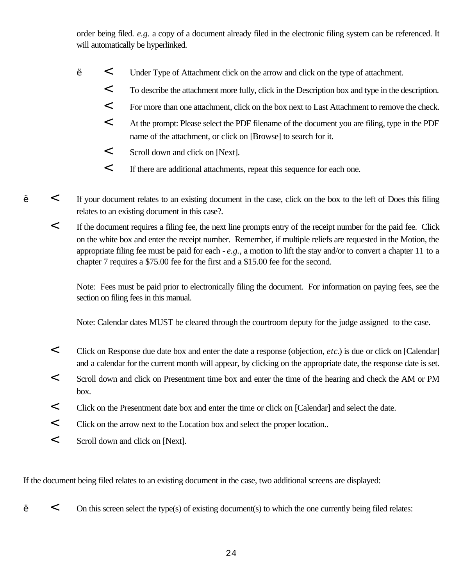order being filed. *e.g.* a copy of a document already filed in the electronic filing system can be referenced. It will automatically be hyperlinked.

- ' < Under Type of Attachment click on the arrow and click on the type of attachment.
	- < To describe the attachment more fully, click in the Description box and type in the description.
	- < For more than one attachment, click on the box next to Last Attachment to remove the check.
	- < At the prompt: Please select the PDF filename of the document you are filing, type in the PDF name of the attachment, or click on [Browse] to search for it.
	- < Scroll down and click on [Next].
	- < If there are additional attachments, repeat this sequence for each one.
- ' < If your document relates to an existing document in the case, click on the box to the left of Does this filing relates to an existing document in this case?.
	- < If the document requires a filing fee, the next line prompts entry of the receipt number for the paid fee. Click on the white box and enter the receipt number. Remember, if multiple reliefs are requested in the Motion, the appropriate filing fee must be paid for each - *e.g.*, a motion to lift the stay and/or to convert a chapter 11 to a chapter 7 requires a \$75.00 fee for the first and a \$15.00 fee for the second.

Note: Fees must be paid prior to electronically filing the document. For information on paying fees, see the section on filing fees in this manual.

Note: Calendar dates MUST be cleared through the courtroom deputy for the judge assigned to the case.

- < Click on Response due date box and enter the date a response (objection, *etc*.) is due or click on [Calendar] and a calendar for the current month will appear, by clicking on the appropriate date, the response date is set.
- < Scroll down and click on Presentment time box and enter the time of the hearing and check the AM or PM box.
- < Click on the Presentment date box and enter the time or click on [Calendar] and select the date.
- < Click on the arrow next to the Location box and select the proper location..
- < Scroll down and click on [Next].

If the document being filed relates to an existing document in the case, two additional screens are displayed:

' < On this screen select the type(s) of existing document(s) to which the one currently being filed relates: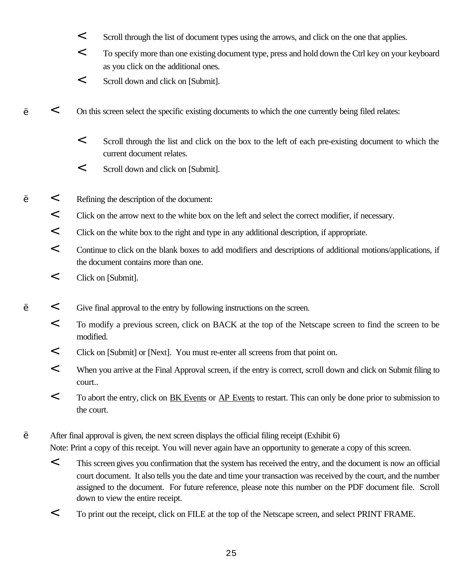- < Scroll through the list of document types using the arrows, and click on the one that applies.
- < To specify more than one existing document type, press and hold down the Ctrl key on your keyboard as you click on the additional ones.
- < Scroll down and click on [Submit].
- ' < On this screen select the specific existing documents to which the one currently being filed relates:
	- < Scroll through the list and click on the box to the left of each pre-existing document to which the current document relates.
	- < Scroll down and click on [Submit].
- ' < Refining the description of the document:
- < Click on the arrow next to the white box on the left and select the correct modifier, if necessary.
- < Click on the white box to the right and type in any additional description, if appropriate.
- < Continue to click on the blank boxes to add modifiers and descriptions of additional motions/applications, if the document contains more than one.
- < Click on [Submit].
- ' < Give final approval to the entry by following instructions on the screen.
- < To modify a previous screen, click on BACK at the top of the Netscape screen to find the screen to be modified.
- < Click on [Submit] or [Next]. You must re-enter all screens from that point on.
- < When you arrive at the Final Approval screen, if the entry is correct, scroll down and click on Submit filing to court..
- < To abort the entry, click on BK Events or AP Events to restart. This can only be done prior to submission to the court.

' After final approval is given, the next screen displays the official filing receipt (Exhibit 6)

Note: Print a copy of this receipt. You will never again have an opportunity to generate a copy of this screen.

- < This screen gives you confirmation that the system has received the entry, and the document is now an official court document. It also tells you the date and time your transaction was received by the court, and the number assigned to the document. For future reference, please note this number on the PDF document file. Scroll down to view the entire receipt.
- < To print out the receipt, click on FILE at the top of the Netscape screen, and select PRINT FRAME.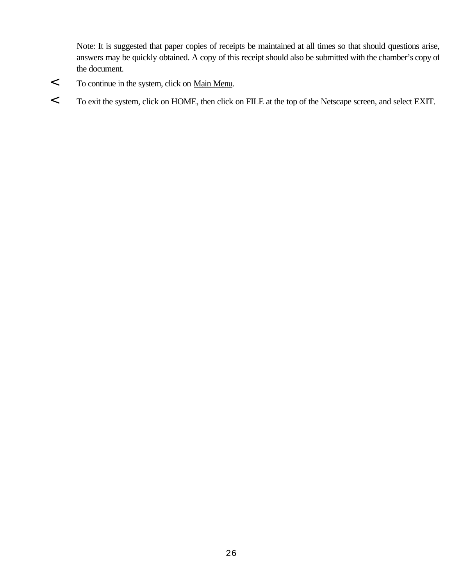Note: It is suggested that paper copies of receipts be maintained at all times so that should questions arise, answers may be quickly obtained. A copy of this receipt should also be submitted with the chamber's copy of the document.

- < To continue in the system, click on Main Menu.
- < To exit the system, click on HOME, then click on FILE at the top of the Netscape screen, and select EXIT.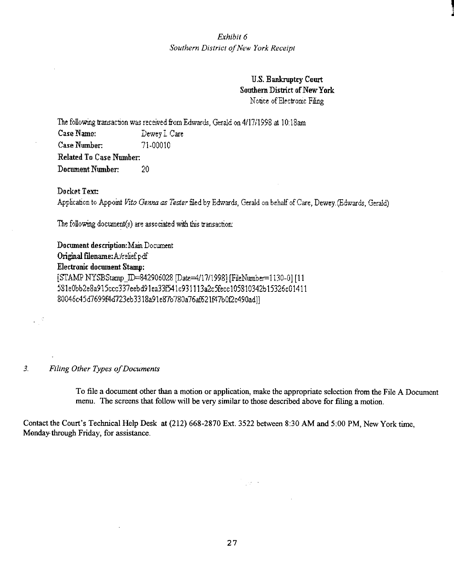**U.S. Bankruptcy Court** Southern District of New York Notice of Electronic Filing

The following transaction was received from Edwards, Gerald on 4/17/1998 at 10:18am Case Name: Dewey L Care Case Number: 71-00010 **Related To Case Number:** Document Number: 20

Docket Text:

Application to Appoint Vito Genna as Tester filed by Edwards, Gerald on behalf of Care, Dewey (Edwards, Gerald)

The following document(s) are associated with this transaction:

Document description: Main Document Original filename: A/relief.pdf **Electronic document Stamp:** [STAMP NYSBStamp\_ID=842906028 [Date=4/17/1998] [FileNumber=1130-0] [11 581e0bb2e8a915ccc337eebd91ea33f541c931113a2c5fecc105810342b15326c01411 80046c45d7699f4d723eb3318a91e87b780a76af621f47b0f2c490ad]]

#### Filing Other Types of Documents  $3<sub>1</sub>$

군로

To file a document other than a motion or application, make the appropriate selection from the File A Document menu. The screens that follow will be very similar to those described above for filing a motion.

े <sub>पुरा</sub>व

Contact the Court's Technical Help Desk at (212) 668-2870 Ext. 3522 between 8:30 AM and 5:00 PM, New York time, Monday through Friday, for assistance.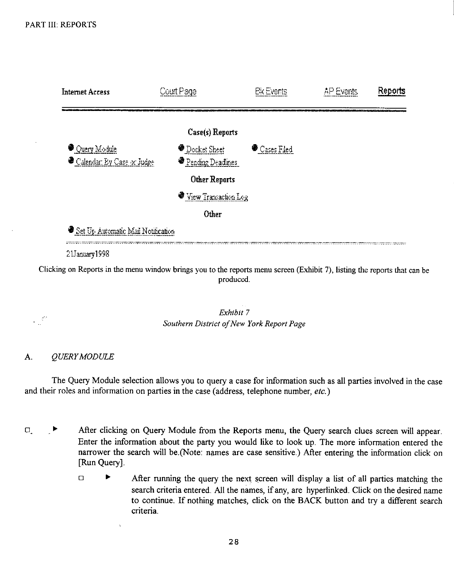

Clicking on Reports in the menu window brings you to the reports menu screen (Exhibit 7), listing the reports that can be produced.

> Exhibit 7 Southern District of New York Report Page

#### A. QUERY MODULE

 $\mathbb{R}^2$ 

The Query Module selection allows you to query a case for information such as all parties involved in the case and their roles and information on parties in the case (address, telephone number, etc.)

- $\Box$ ▶ After clicking on Query Module from the Reports menu, the Query search clues screen will appear. Enter the information about the party you would like to look up. The more information entered the narrower the search will be (Note: names are case sensitive.) After entering the information click on [Run Query].
	- $\blacktriangleright$  $\Box$ After running the query the next screen will display a list of all parties matching the search criteria entered. All the names, if any, are hyperlinked. Click on the desired name to continue. If nothing matches, click on the BACK button and try a different search criteria.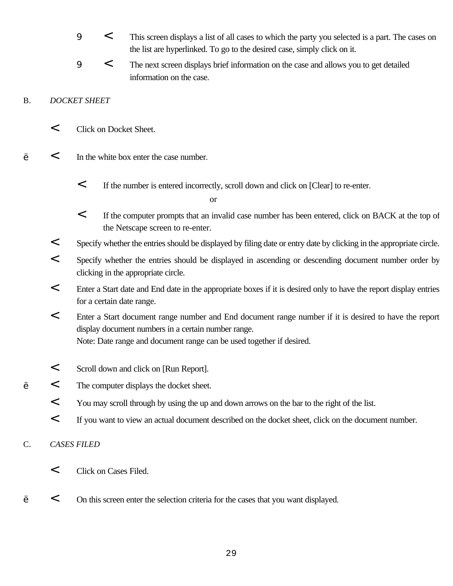- <sup>9</sup> < This screen displays a list of all cases to which the party you selected is a part. The cases on the list are hyperlinked. To go to the desired case, simply click on it.
- <sup>9</sup> < The next screen displays brief information on the case and allows you to get detailed information on the case.

#### B. *DOCKET SHEET*

- < Click on Docket Sheet.
- ' < In the white box enter the case number.
	- < If the number is entered incorrectly, scroll down and click on [Clear] to re-enter.

or

- < If the computer prompts that an invalid case number has been entered, click on BACK at the top of the Netscape screen to re-enter.
- < Specify whether the entries should be displayed by filing date or entry date by clicking in the appropriate circle.
- < Specify whether the entries should be displayed in ascending or descending document number order by clicking in the appropriate circle.
- < Enter a Start date and End date in the appropriate boxes if it is desired only to have the report display entries for a certain date range.
- < Enter a Start document range number and End document range number if it is desired to have the report display document numbers in a certain number range. Note: Date range and document range can be used together if desired.
- < Scroll down and click on [Run Report].
- ' < The computer displays the docket sheet.
	- < You may scroll through by using the up and down arrows on the bar to the right of the list.
	- < If you want to view an actual document described on the docket sheet, click on the document number.

#### C. *CASES FILED*

- < Click on Cases Filed.
- ' < On this screen enter the selection criteria for the cases that you want displayed.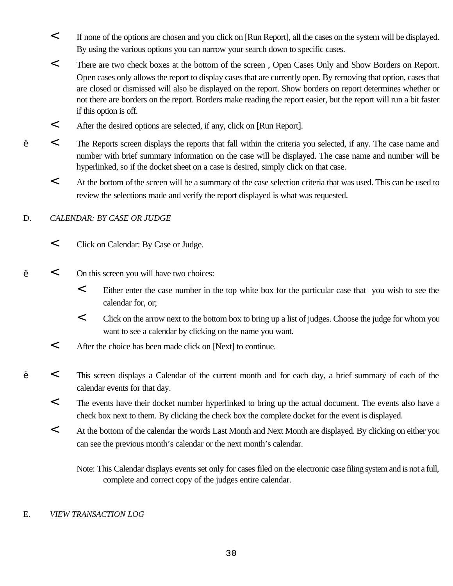- < If none of the options are chosen and you click on [Run Report], all the cases on the system will be displayed. By using the various options you can narrow your search down to specific cases.
- < There are two check boxes at the bottom of the screen , Open Cases Only and Show Borders on Report. Open cases only allows the report to display cases that are currently open. By removing that option, cases that are closed or dismissed will also be displayed on the report. Show borders on report determines whether or not there are borders on the report. Borders make reading the report easier, but the report will run a bit faster if this option is off.
- < After the desired options are selected, if any, click on [Run Report].
- ' < The Reports screen displays the reports that fall within the criteria you selected, if any. The case name and number with brief summary information on the case will be displayed. The case name and number will be hyperlinked, so if the docket sheet on a case is desired, simply click on that case.
- < At the bottom of the screen will be a summary of the case selection criteria that was used. This can be used to review the selections made and verify the report displayed is what was requested.

# D. *CALENDAR: BY CASE OR JUDGE*

- < Click on Calendar: By Case or Judge.
- ' < On this screen you will have two choices:
	- < Either enter the case number in the top white box for the particular case that you wish to see the calendar for, or;
	- < Click on the arrow next to the bottom box to bring up a list of judges. Choose the judge for whom you want to see a calendar by clicking on the name you want.
	- < After the choice has been made click on [Next] to continue.
	- ' < This screen displays a Calendar of the current month and for each day, a brief summary of each of the calendar events for that day.
	- < The events have their docket number hyperlinked to bring up the actual document. The events also have a check box next to them. By clicking the check box the complete docket for the event is displayed.
	- < At the bottom of the calendar the words Last Month and Next Month are displayed. By clicking on either you can see the previous month's calendar or the next month's calendar.

Note: This Calendar displays events set only for cases filed on the electronic case filing system and is not a full, complete and correct copy of the judges entire calendar.

#### E. *VIEW TRANSACTION LOG*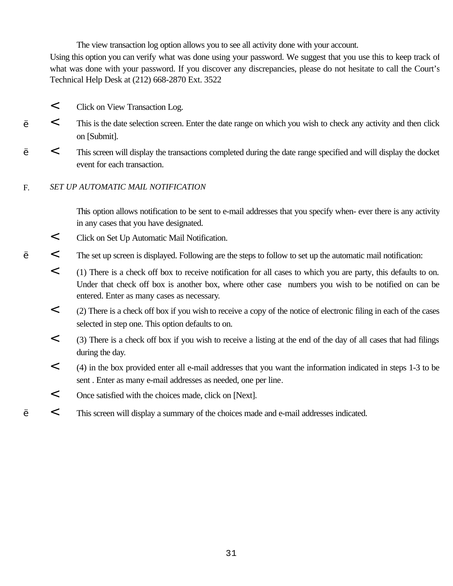The view transaction log option allows you to see all activity done with your account.

Using this option you can verify what was done using your password. We suggest that you use this to keep track of what was done with your password. If you discover any discrepancies, please do not hesitate to call the Court's Technical Help Desk at (212) 668-2870 Ext. 3522

- < Click on View Transaction Log.
- ' < This is the date selection screen. Enter the date range on which you wish to check any activity and then click on [Submit].
	- ' < This screen will display the transactions completed during the date range specified and will display the docket event for each transaction.

#### F. *SET UP AUTOMATIC MAIL NOTIFICATION*

This option allows notification to be sent to e-mail addresses that you specify when- ever there is any activity in any cases that you have designated.

- < Click on Set Up Automatic Mail Notification.
- ' < The set up screen is displayed. Following are the steps to follow to set up the automatic mail notification:
- < (1) There is a check off box to receive notification for all cases to which you are party, this defaults to on. Under that check off box is another box, where other case numbers you wish to be notified on can be entered. Enter as many cases as necessary.
- < (2) There is a check off box if you wish to receive a copy of the notice of electronic filing in each of the cases selected in step one. This option defaults to on.
- < (3) There is a check off box if you wish to receive a listing at the end of the day of all cases that had filings during the day.
- < (4) in the box provided enter all e-mail addresses that you want the information indicated in steps 1-3 to be sent . Enter as many e-mail addresses as needed, one per line.
- < Once satisfied with the choices made, click on [Next].
- ' < This screen will display a summary of the choices made and e-mail addresses indicated.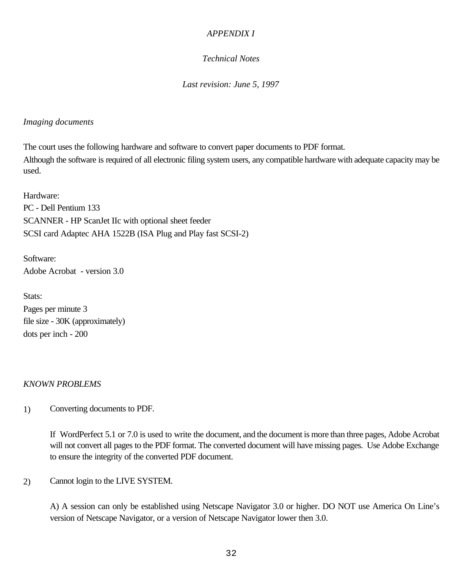#### *APPENDIX I*

# *Technical Notes*

*Last revision: June 5, 1997*

#### *Imaging documents*

The court uses the following hardware and software to convert paper documents to PDF format. Although the software is required of all electronic filing system users, any compatible hardware with adequate capacity may be used.

Hardware: PC - Dell Pentium 133 SCANNER - HP ScanJet IIc with optional sheet feeder SCSI card Adaptec AHA 1522B (ISA Plug and Play fast SCSI-2)

Software: Adobe Acrobat - version 3.0

Stats: Pages per minute 3 file size - 30K (approximately) dots per inch - 200

#### *KNOWN PROBLEMS*

1) Converting documents to PDF.

If WordPerfect 5.1 or 7.0 is used to write the document, and the document is more than three pages, Adobe Acrobat will not convert all pages to the PDF format. The converted document will have missing pages. Use Adobe Exchange to ensure the integrity of the converted PDF document.

2) Cannot login to the LIVE SYSTEM.

A) A session can only be established using Netscape Navigator 3.0 or higher. DO NOT use America On Line's version of Netscape Navigator, or a version of Netscape Navigator lower then 3.0.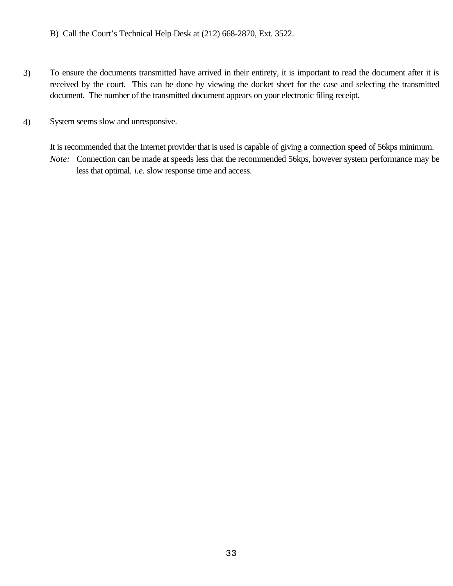B) Call the Court's Technical Help Desk at (212) 668-2870, Ext. 3522.

- 3) To ensure the documents transmitted have arrived in their entirety, it is important to read the document after it is received by the court. This can be done by viewing the docket sheet for the case and selecting the transmitted document. The number of the transmitted document appears on your electronic filing receipt.
- 4) System seems slow and unresponsive.

It is recommended that the Internet provider that is used is capable of giving a connection speed of 56kps minimum. *Note:* Connection can be made at speeds less that the recommended 56kps, however system performance may be less that optimal. *i.e.* slow response time and access.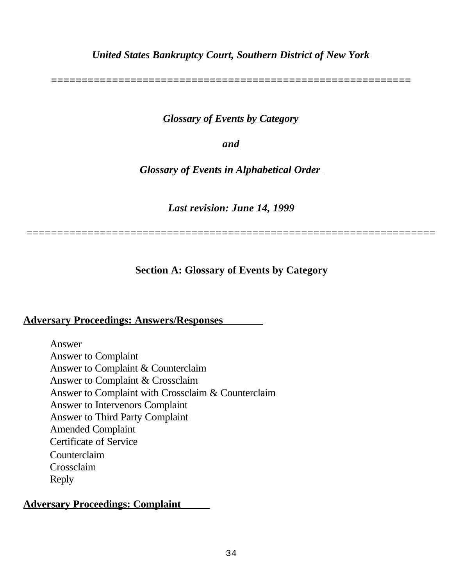# *United States Bankruptcy Court, Southern District of New York*

*===========================================================*

# *Glossary of Events by Category*

*and*

*Glossary of Events in Alphabetical Order* 

*Last revision: June 14, 1999*

===================================================================

**Section A: Glossary of Events by Category**

# **Adversary Proceedings: Answers/Responses**

Answer Answer to Complaint Answer to Complaint & Counterclaim Answer to Complaint & Crossclaim Answer to Complaint with Crossclaim & Counterclaim Answer to Intervenors Complaint Answer to Third Party Complaint Amended Complaint Certificate of Service Counterclaim Crossclaim Reply

# **Adversary Proceedings: Complaint**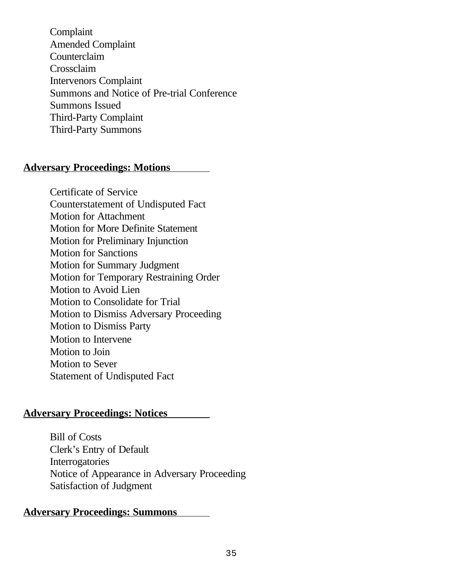Complaint Amended Complaint Counterclaim Crossclaim Intervenors Complaint Summons and Notice of Pre-trial Conference Summons Issued Third-Party Complaint Third-Party Summons

# **Adversary Proceedings: Motions**

Certificate of Service Counterstatement of Undisputed Fact Motion for Attachment Motion for More Definite Statement Motion for Preliminary Injunction Motion for Sanctions Motion for Summary Judgment Motion for Temporary Restraining Order Motion to Avoid Lien Motion to Consolidate for Trial Motion to Dismiss Adversary Proceeding Motion to Dismiss Party Motion to Intervene Motion to Join Motion to Sever Statement of Undisputed Fact

# **Adversary Proceedings: Notices**

Bill of Costs Clerk's Entry of Default Interrogatories Notice of Appearance in Adversary Proceeding Satisfaction of Judgment

# **Adversary Proceedings: Summons**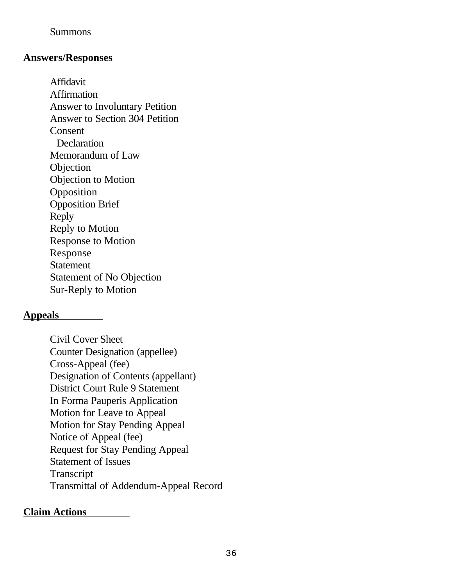# Summons

# **Answers/Responses**

Affidavit **Affirmation** Answer to Involuntary Petition Answer to Section 304 Petition Consent **Declaration** Memorandum of Law **Objection** Objection to Motion Opposition Opposition Brief Reply Reply to Motion Response to Motion Response **Statement** Statement of No Objection Sur-Reply to Motion

# **Appeals**

Civil Cover Sheet Counter Designation (appellee) Cross-Appeal (fee) Designation of Contents (appellant) District Court Rule 9 Statement In Forma Pauperis Application Motion for Leave to Appeal Motion for Stay Pending Appeal Notice of Appeal (fee) Request for Stay Pending Appeal Statement of Issues **Transcript** Transmittal of Addendum-Appeal Record

# **Claim Actions**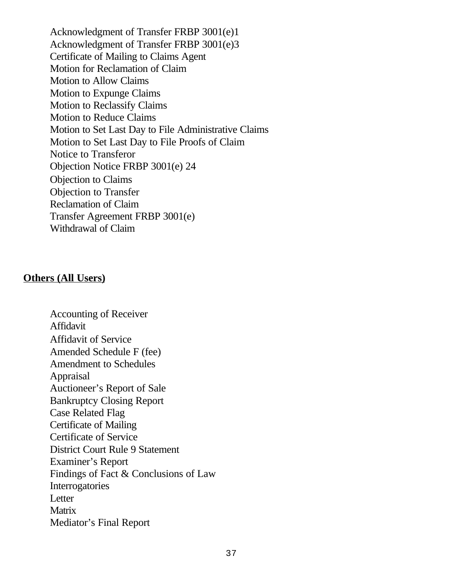Acknowledgment of Transfer FRBP 3001(e)1 Acknowledgment of Transfer FRBP 3001(e)3 Certificate of Mailing to Claims Agent Motion for Reclamation of Claim Motion to Allow Claims Motion to Expunge Claims Motion to Reclassify Claims Motion to Reduce Claims Motion to Set Last Day to File Administrative Claims Motion to Set Last Day to File Proofs of Claim Notice to Transferor Objection Notice FRBP 3001(e) 24 Objection to Claims Objection to Transfer Reclamation of Claim Transfer Agreement FRBP 3001(e) Withdrawal of Claim

# **Others (All Users)**

Accounting of Receiver Affidavit Affidavit of Service Amended Schedule F (fee) Amendment to Schedules Appraisal Auctioneer's Report of Sale Bankruptcy Closing Report Case Related Flag Certificate of Mailing Certificate of Service District Court Rule 9 Statement Examiner's Report Findings of Fact & Conclusions of Law Interrogatories **L**etter **Matrix** Mediator's Final Report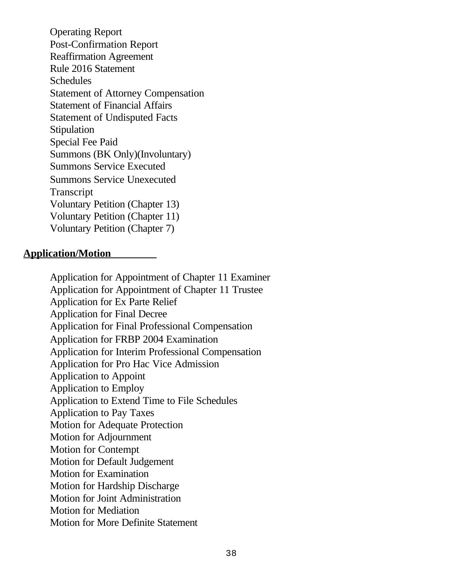Operating Report Post-Confirmation Report Reaffirmation Agreement Rule 2016 Statement **Schedules** Statement of Attorney Compensation Statement of Financial Affairs Statement of Undisputed Facts **Stipulation** Special Fee Paid Summons (BK Only)(Involuntary) Summons Service Executed Summons Service Unexecuted Transcript Voluntary Petition (Chapter 13) Voluntary Petition (Chapter 11) Voluntary Petition (Chapter 7)

# **Application/Motion**

Application for Appointment of Chapter 11 Examiner Application for Appointment of Chapter 11 Trustee Application for Ex Parte Relief Application for Final Decree Application for Final Professional Compensation Application for FRBP 2004 Examination Application for Interim Professional Compensation Application for Pro Hac Vice Admission Application to Appoint Application to Employ Application to Extend Time to File Schedules Application to Pay Taxes Motion for Adequate Protection Motion for Adjournment Motion for Contempt Motion for Default Judgement Motion for Examination Motion for Hardship Discharge Motion for Joint Administration Motion for Mediation Motion for More Definite Statement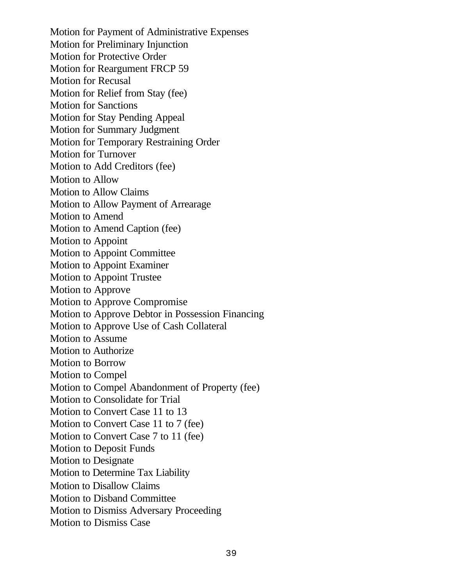Motion for Payment of Administrative Expenses Motion for Preliminary Injunction Motion for Protective Order Motion for Reargument FRCP 59 Motion for Recusal Motion for Relief from Stay (fee) Motion for Sanctions Motion for Stay Pending Appeal Motion for Summary Judgment Motion for Temporary Restraining Order Motion for Turnover Motion to Add Creditors (fee) Motion to Allow Motion to Allow Claims Motion to Allow Payment of Arrearage Motion to Amend Motion to Amend Caption (fee) Motion to Appoint Motion to Appoint Committee Motion to Appoint Examiner Motion to Appoint Trustee Motion to Approve Motion to Approve Compromise Motion to Approve Debtor in Possession Financing Motion to Approve Use of Cash Collateral Motion to Assume Motion to Authorize Motion to Borrow Motion to Compel Motion to Compel Abandonment of Property (fee) Motion to Consolidate for Trial Motion to Convert Case 11 to 13 Motion to Convert Case 11 to 7 (fee) Motion to Convert Case 7 to 11 (fee) Motion to Deposit Funds Motion to Designate Motion to Determine Tax Liability Motion to Disallow Claims Motion to Disband Committee Motion to Dismiss Adversary Proceeding Motion to Dismiss Case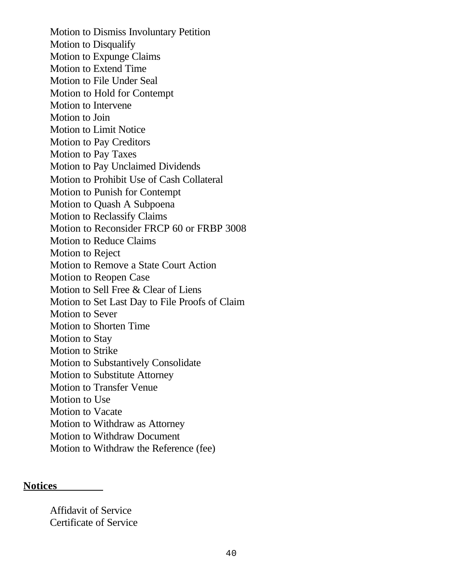Motion to Dismiss Involuntary Petition Motion to Disqualify Motion to Expunge Claims Motion to Extend Time Motion to File Under Seal Motion to Hold for Contempt Motion to Intervene Motion to Join Motion to Limit Notice Motion to Pay Creditors Motion to Pay Taxes Motion to Pay Unclaimed Dividends Motion to Prohibit Use of Cash Collateral Motion to Punish for Contempt Motion to Quash A Subpoena Motion to Reclassify Claims Motion to Reconsider FRCP 60 or FRBP 3008 Motion to Reduce Claims Motion to Reject Motion to Remove a State Court Action Motion to Reopen Case Motion to Sell Free & Clear of Liens Motion to Set Last Day to File Proofs of Claim Motion to Sever Motion to Shorten Time Motion to Stay Motion to Strike Motion to Substantively Consolidate Motion to Substitute Attorney Motion to Transfer Venue Motion to Use Motion to Vacate Motion to Withdraw as Attorney Motion to Withdraw Document Motion to Withdraw the Reference (fee)

#### **Notices**

Affidavit of Service Certificate of Service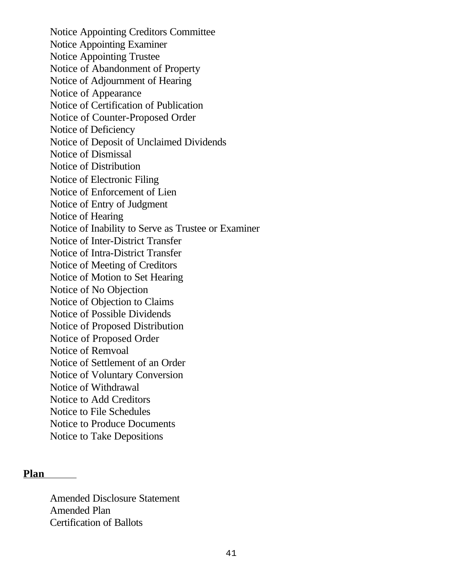Notice Appointing Creditors Committee Notice Appointing Examiner Notice Appointing Trustee Notice of Abandonment of Property Notice of Adjournment of Hearing Notice of Appearance Notice of Certification of Publication Notice of Counter-Proposed Order Notice of Deficiency Notice of Deposit of Unclaimed Dividends Notice of Dismissal Notice of Distribution Notice of Electronic Filing Notice of Enforcement of Lien Notice of Entry of Judgment Notice of Hearing Notice of Inability to Serve as Trustee or Examiner Notice of Inter-District Transfer Notice of Intra-District Transfer Notice of Meeting of Creditors Notice of Motion to Set Hearing Notice of No Objection Notice of Objection to Claims Notice of Possible Dividends Notice of Proposed Distribution Notice of Proposed Order Notice of Remvoal Notice of Settlement of an Order Notice of Voluntary Conversion Notice of Withdrawal Notice to Add Creditors Notice to File Schedules Notice to Produce Documents Notice to Take Depositions

#### **Plan**

Amended Disclosure Statement Amended Plan Certification of Ballots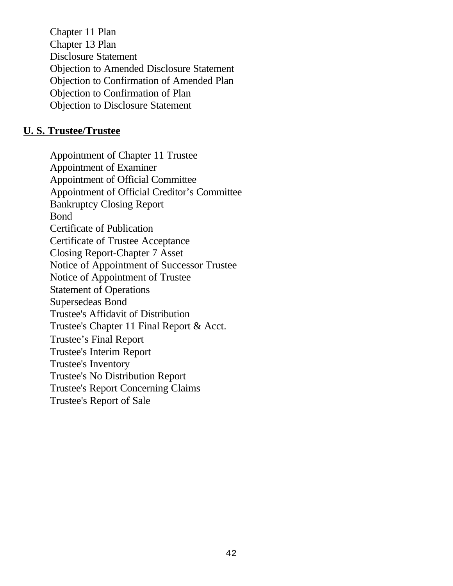Chapter 11 Plan Chapter 13 Plan Disclosure Statement Objection to Amended Disclosure Statement Objection to Confirmation of Amended Plan Objection to Confirmation of Plan Objection to Disclosure Statement

# **U. S. Trustee/Trustee**

Appointment of Chapter 11 Trustee Appointment of Examiner Appointment of Official Committee Appointment of Official Creditor's Committee Bankruptcy Closing Report Bond Certificate of Publication Certificate of Trustee Acceptance Closing Report-Chapter 7 Asset Notice of Appointment of Successor Trustee Notice of Appointment of Trustee Statement of Operations Supersedeas Bond Trustee's Affidavit of Distribution Trustee's Chapter 11 Final Report & Acct. Trustee's Final Report Trustee's Interim Report Trustee's Inventory Trustee's No Distribution Report Trustee's Report Concerning Claims Trustee's Report of Sale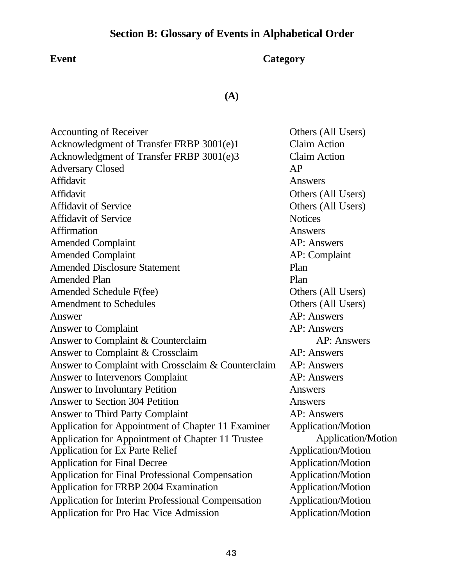# **Section B: Glossary of Events in Alphabetical Order**

| <b>Event</b> | <b>Category</b> |
|--------------|-----------------|
|              |                 |

**(A)**

| Others (All Users)        |
|---------------------------|
| <b>Claim Action</b>       |
| <b>Claim Action</b>       |
| AP                        |
| Answers                   |
| Others (All Users)        |
| Others (All Users)        |
| <b>Notices</b>            |
| Answers                   |
| <b>AP:</b> Answers        |
| AP: Complaint             |
| Plan                      |
| Plan                      |
| Others (All Users)        |
| Others (All Users)        |
| <b>AP:</b> Answers        |
| AP: Answers               |
| <b>AP: Answers</b>        |
| AP: Answers               |
| AP: Answers               |
| AP: Answers               |
| Answers                   |
| Answers                   |
| <b>AP: Answers</b>        |
| Application/Motion        |
| <b>Application/Motion</b> |
| <b>Application/Motion</b> |
| Application/Motion        |
| <b>Application/Motion</b> |
| <b>Application/Motion</b> |
| <b>Application/Motion</b> |
| Application/Motion        |
|                           |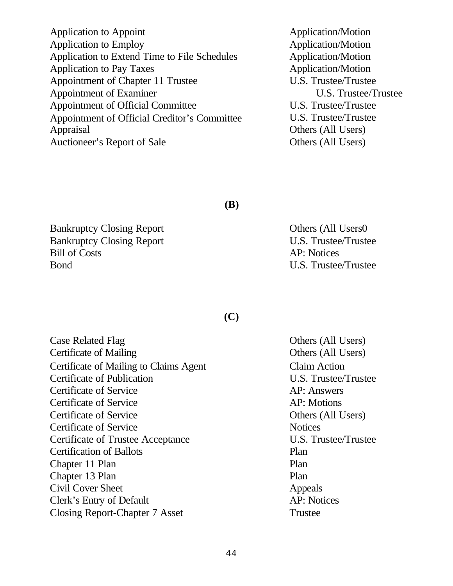Application to Appoint Application/Motion Application to Employ Application/Motion Application to Extend Time to File Schedules Application/Motion Application to Pay Taxes Application/Motion Appointment of Chapter 11 Trustee U.S. Trustee/Trustee Appointment of Examiner U.S. Trustee/Trustee Appointment of Official Committee U.S. Trustee/Trustee Appointment of Official Creditor's Committee U.S. Trustee/Trustee Appraisal **Others** (All Users) Auctioneer's Report of Sale **Others** (All Users)

**(B)**

Bankruptcy Closing Report **Others** (All Users0 Bankruptcy Closing Report U.S. Trustee/Trustee Bill of Costs AP: Notices Bond U.S. Trustee/Trustee

**(C)**

| <b>Case Related Flag</b>                 | Others (All Users)   |
|------------------------------------------|----------------------|
| Certificate of Mailing                   | Others (All Users)   |
| Certificate of Mailing to Claims Agent   | <b>Claim Action</b>  |
| Certificate of Publication               | U.S. Trustee/Trustee |
| Certificate of Service                   | <b>AP:</b> Answers   |
| Certificate of Service                   | AP: Motions          |
| Certificate of Service                   | Others (All Users)   |
| Certificate of Service                   | <b>Notices</b>       |
| <b>Certificate of Trustee Acceptance</b> | U.S. Trustee/Trustee |
| <b>Certification of Ballots</b>          | Plan                 |
| Chapter 11 Plan                          | Plan                 |
| Chapter 13 Plan                          | Plan                 |
| Civil Cover Sheet                        | Appeals              |
| Clerk's Entry of Default                 | <b>AP:</b> Notices   |
| Closing Report-Chapter 7 Asset           | <b>Trustee</b>       |
|                                          |                      |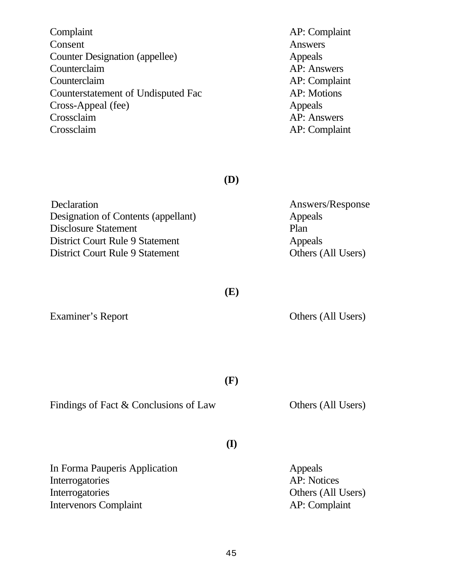| Complaint                          | AP: Complaint |
|------------------------------------|---------------|
| Consent                            | Answers       |
| Counter Designation (appellee)     | Appeals       |
| Counterclaim                       | AP: Answers   |
| Counterclaim                       | AP: Complaint |
| Counterstatement of Undisputed Fac | AP: Motions   |
| Cross-Appeal (fee)                 | Appeals       |
| Crossclaim                         | AP: Answers   |
| Crossclaim                         | AP: Complaint |

**(D)**

| Answers/Response   |
|--------------------|
| Appeals            |
| Plan               |
| Appeals            |
| Others (All Users) |
|                    |

**(E)**

Examiner's Report **Others (All Users)** 

**(F)**

Findings of Fact & Conclusions of Law Others (All Users)

**(I)**

In Forma Pauperis Application **Appeals** Interrogatories AP: Notices Interrogatories Others (All Users) Intervenors Complaint AP: Complaint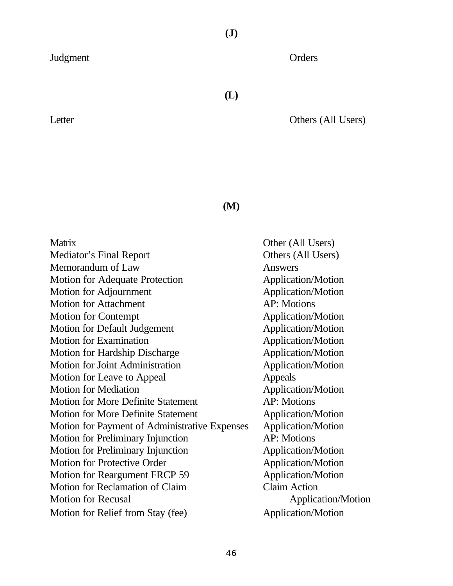**(J)**

Judgment Orders

**(L)**

Letter **Others (All Users)** 

Users)

**(M)**

| Other (All Users)         |
|---------------------------|
| Others (All Users)        |
| Answers                   |
| Application/Motion        |
| <b>Application/Motion</b> |
| <b>AP:</b> Motions        |
| Application/Motion        |
| <b>Application/Motion</b> |
| <b>Application/Motion</b> |
| <b>Application/Motion</b> |
| <b>Application/Motion</b> |
| Appeals                   |
| <b>Application/Motion</b> |
| <b>AP: Motions</b>        |
| <b>Application/Motion</b> |
| <b>Application/Motion</b> |
| <b>AP:</b> Motions        |
| <b>Application/Motion</b> |
| <b>Application/Motion</b> |
| <b>Application/Motion</b> |
| <b>Claim Action</b>       |
| Application/Motion        |
| Application/Motion        |
|                           |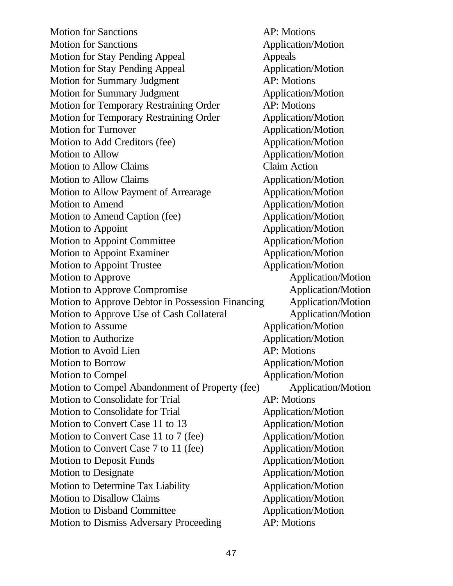Motion for Sanctions **AP**: Motions Motion for Sanctions **Application**/Motion Motion for Stay Pending Appeal Appeals Motion for Stay Pending Appeal Application/Motion Motion for Summary Judgment AP: Motions Motion for Summary Judgment Application/Motion Motion for Temporary Restraining Order **AP:** Motions Motion for Temporary Restraining Order Application/Motion Motion for Turnover Application/Motion Motion to Add Creditors (fee) Application/Motion Motion to Allow Application/Motion Motion to Allow Claims Claim Action Motion to Allow Claims Application/Motion Motion to Allow Payment of Arrearage Application/Motion Motion to Amend Application/Motion Motion to Amend Caption (fee) Application/Motion Motion to Appoint Application/Motion Motion to Appoint Committee Application/Motion Motion to Appoint Examiner Application/Motion Motion to Appoint Trustee Application/Motion Motion to Approve Application/Motion Motion to Approve Compromise Application/Motion Motion to Approve Debtor in Possession Financing Application/Motion Motion to Approve Use of Cash Collateral Application/Motion Motion to Assume Application/Motion Motion to Authorize Application/Motion Motion to Avoid Lien AP: Motions Motion to Borrow Application/Motion Motion to Compel Application/Motion Motion to Compel Abandonment of Property (fee) Application/Motion Motion to Consolidate for Trial AP: Motions Motion to Consolidate for Trial Application/Motion Motion to Convert Case 11 to 13 Application/Motion Motion to Convert Case 11 to 7 (fee) Application/Motion Motion to Convert Case 7 to 11 (fee) Application/Motion Motion to Deposit Funds Application/Motion Motion to Designate Application/Motion Motion to Determine Tax Liability **Application/Motion** Motion to Disallow Claims Application/Motion Motion to Disband Committee Application/Motion Motion to Dismiss Adversary Proceeding AP: Motions

47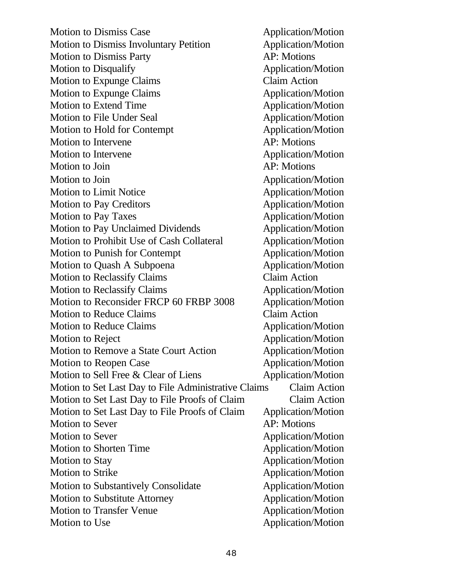Motion to Dismiss Case Application/Motion Motion to Dismiss Involuntary Petition **Application/Motion** Motion to Dismiss Party **AP:** Motions Motion to Disqualify Application/Motion Motion to Expunge Claims Claim Action Motion to Expunge Claims Application/Motion Motion to Extend Time Application/Motion Motion to File Under Seal Application/Motion Motion to Hold for Contempt **Application/Motion** Motion to Intervene AP: Motions Motion to Intervene Application/Motion Motion to Join AP: Motions Motion to Join and Application/Motion Motion to Limit Notice Application/Motion Motion to Pay Creditors **Application/Motion** Motion to Pay Taxes Application/Motion Motion to Pay Unclaimed Dividends Application/Motion Motion to Prohibit Use of Cash Collateral Application/Motion Motion to Punish for Contempt Application/Motion Motion to Quash A Subpoena<br>
Application/Motion Motion to Reclassify Claims Claim Action Motion to Reclassify Claims Application/Motion Motion to Reconsider FRCP 60 FRBP 3008 Application/Motion Motion to Reduce Claims Claim Action Motion to Reduce Claims Application/Motion Motion to Reject Application/Motion Motion to Remove a State Court Action **Application/Motion** Motion to Reopen Case Application/Motion Motion to Sell Free & Clear of Liens Application/Motion Motion to Set Last Day to File Administrative Claims Claim Action Motion to Set Last Day to File Proofs of Claim Claim Action Motion to Set Last Day to File Proofs of Claim Application/Motion Motion to Sever AP: Motions Motion to Sever Application/Motion Motion to Shorten Time Application/Motion Motion to Stay and the Stay Application/Motion Motion to Strike Application/Motion Motion to Substantively Consolidate Application/Motion Motion to Substitute Attorney Application/Motion Motion to Transfer Venue Application/Motion Motion to Use Application/Motion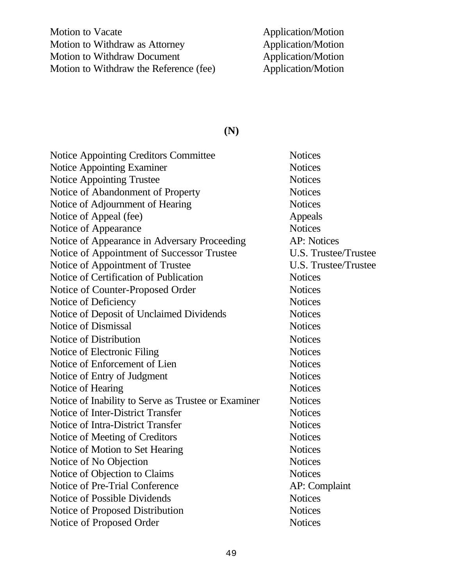Motion to Vacate Application/Motion Motion to Withdraw as Attorney Application/Motion<br>
Motion to Withdraw Document<br>
Application/Motion Motion to Withdraw Document<br>
Motion to Withdraw the Reference (fee)<br>
Application/Motion<br>
Application/Motion Motion to Withdraw the Reference (fee)

# **(N)**

| <b>Notice Appointing Creditors Committee</b>        | <b>Notices</b>              |
|-----------------------------------------------------|-----------------------------|
| Notice Appointing Examiner                          | <b>Notices</b>              |
| <b>Notice Appointing Trustee</b>                    | <b>Notices</b>              |
| Notice of Abandonment of Property                   | <b>Notices</b>              |
| Notice of Adjournment of Hearing                    | <b>Notices</b>              |
| Notice of Appeal (fee)                              | Appeals                     |
| Notice of Appearance                                | <b>Notices</b>              |
| Notice of Appearance in Adversary Proceeding        | <b>AP: Notices</b>          |
| Notice of Appointment of Successor Trustee          | <b>U.S. Trustee/Trustee</b> |
| Notice of Appointment of Trustee                    | U.S. Trustee/Trustee        |
| Notice of Certification of Publication              | <b>Notices</b>              |
| Notice of Counter-Proposed Order                    | <b>Notices</b>              |
| Notice of Deficiency                                | <b>Notices</b>              |
| Notice of Deposit of Unclaimed Dividends            | <b>Notices</b>              |
| Notice of Dismissal                                 | <b>Notices</b>              |
| Notice of Distribution                              | <b>Notices</b>              |
| Notice of Electronic Filing                         | <b>Notices</b>              |
| Notice of Enforcement of Lien                       | <b>Notices</b>              |
| Notice of Entry of Judgment                         | <b>Notices</b>              |
| Notice of Hearing                                   | <b>Notices</b>              |
| Notice of Inability to Serve as Trustee or Examiner | <b>Notices</b>              |
| Notice of Inter-District Transfer                   | <b>Notices</b>              |
| Notice of Intra-District Transfer                   | <b>Notices</b>              |
| Notice of Meeting of Creditors                      | <b>Notices</b>              |
| Notice of Motion to Set Hearing                     | <b>Notices</b>              |
| Notice of No Objection                              | <b>Notices</b>              |
| Notice of Objection to Claims                       | <b>Notices</b>              |
| Notice of Pre-Trial Conference                      | AP: Complaint               |
| Notice of Possible Dividends                        | <b>Notices</b>              |
| Notice of Proposed Distribution                     | <b>Notices</b>              |
| Notice of Proposed Order                            | <b>Notices</b>              |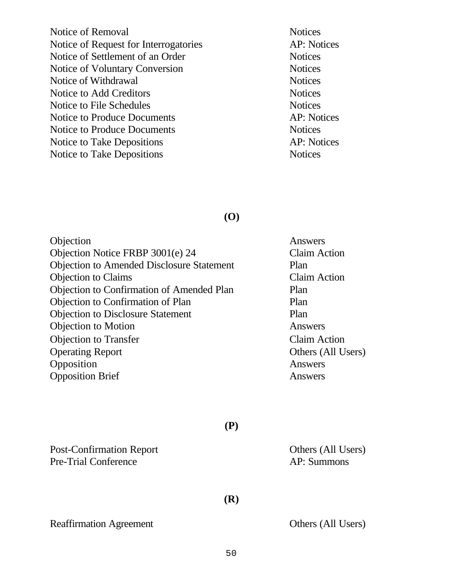Notice of Removal Notices Notice of Request for Interrogatories AP: Notices Notice of Settlement of an Order Notices Notice of Voluntary Conversion Notices Notice of Withdrawal Notices Notice to Add Creditors Notices Notice to File Schedules Notices Notice to Produce Documents AP: Notices Notice to Produce Documents Notices Notice to Take Depositions AP: Notices Notice to Take Depositions Notices

# **(O)**

| Objection                                        | Answers             |
|--------------------------------------------------|---------------------|
| Objection Notice FRBP 3001(e) 24                 | <b>Claim Action</b> |
| <b>Objection to Amended Disclosure Statement</b> | Plan                |
| <b>Objection to Claims</b>                       | <b>Claim Action</b> |
| Objection to Confirmation of Amended Plan        | Plan                |
| Objection to Confirmation of Plan                | Plan                |
| <b>Objection to Disclosure Statement</b>         | Plan                |
| <b>Objection to Motion</b>                       | Answers             |
| <b>Objection to Transfer</b>                     | <b>Claim Action</b> |
| <b>Operating Report</b>                          | Others (All U       |
| Opposition                                       | Answers             |
| <b>Opposition Brief</b>                          | Answers             |
|                                                  |                     |

Post-Confirmation Report Others (All Users) Pre-Trial Conference AP: Summons

Reaffirmation Agreement Others (All Users)

(All Users)

**(P)**

**(R)**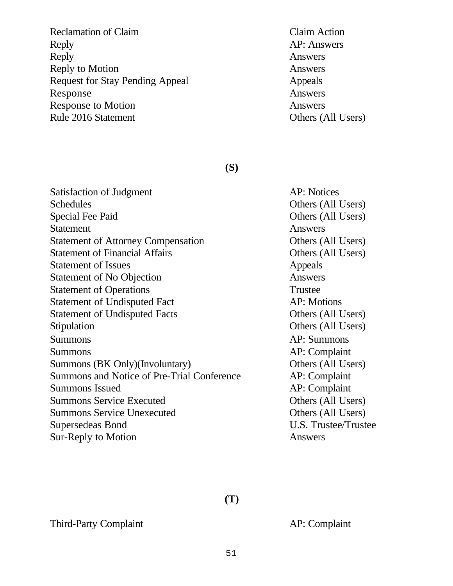Reclamation of Claim **Claim** Claim **Claim** Claim Action Reply AP: Answers Reply Answers Reply to Motion Answers Request for Stay Pending Appeal Appeals Response Answers Response to Motion Answers Rule 2016 Statement **Others** (All Users)

# **(S)**

Satisfaction of Judgment AP: Notices Schedules Others (All Users) Special Fee Paid Others (All Users) Statement Answers Statement of Attorney Compensation **Others (All Users)** Statement of Financial Affairs **Others** (All Users) Statement of Issues Appeals Statement of No Objection **Answers** Statement of Operations Trustee Statement of Undisputed Fact AP: Motions Statement of Undisputed Facts **Others** (All Users) Stipulation **Others (All Users)** Summons AP: Summons Summons AP: Complaint Summons (BK Only)(Involuntary) Others (All Users) Summons and Notice of Pre-Trial Conference AP: Complaint Summons Issued AP: Complaint Summons Service Executed Others (All Users) Summons Service Unexecuted Others (All Users) Supersedeas Bond U.S. Trustee/Trustee Sur-Reply to Motion Answers

**(T)**

Third-Party Complaint **AP:** Complaint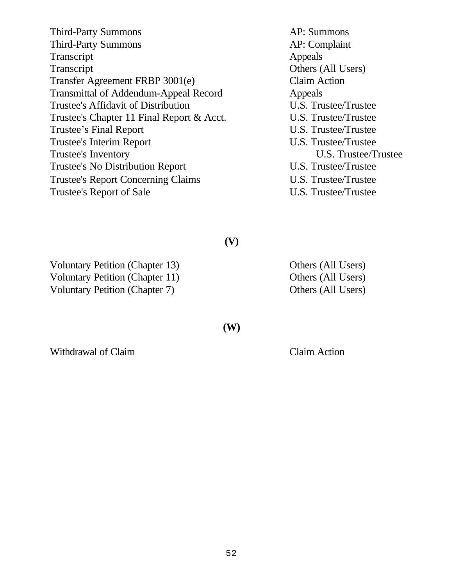| <b>Third-Party Summons</b>                   | AP: Summons          |
|----------------------------------------------|----------------------|
| <b>Third-Party Summons</b>                   | AP: Complaint        |
| Transcript                                   | Appeals              |
| Transcript                                   | Others (All Users)   |
| Transfer Agreement FRBP 3001(e)              | <b>Claim Action</b>  |
| <b>Transmittal of Addendum-Appeal Record</b> | Appeals              |
| Trustee's Affidavit of Distribution          | U.S. Trustee/Trustee |
| Trustee's Chapter 11 Final Report & Acct.    | U.S. Trustee/Trustee |
| Trustee's Final Report                       | U.S. Trustee/Trustee |
| Trustee's Interim Report                     | U.S. Trustee/Trustee |
| Trustee's Inventory                          | U.S. Trustee/Trustee |
| Trustee's No Distribution Report             | U.S. Trustee/Trustee |
| <b>Trustee's Report Concerning Claims</b>    | U.S. Trustee/Trustee |
| Trustee's Report of Sale                     | U.S. Trustee/Trustee |

**(V)**

Voluntary Petition (Chapter 13) Others (All Users) Voluntary Petition (Chapter 11) Others (All Users) Voluntary Petition (Chapter 7) Others (All Users)

Withdrawal of Claim **Claim** Claim Action

**(W)**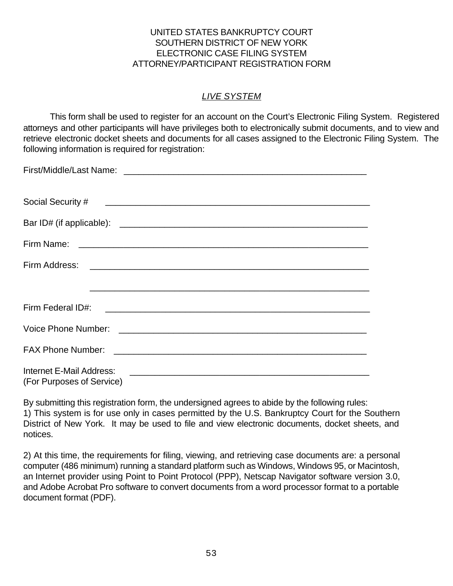# UNITED STATES BANKRUPTCY COURT SOUTHERN DISTRICT OF NEW YORK ELECTRONIC CASE FILING SYSTEM ATTORNEY/PARTICIPANT REGISTRATION FORM

# *LIVE SYSTEM*

This form shall be used to register for an account on the Court's Electronic Filing System. Registered attorneys and other participants will have privileges both to electronically submit documents, and to view and retrieve electronic docket sheets and documents for all cases assigned to the Electronic Filing System. The following information is required for registration:

| FAX Phone Number: 2008 - 2009 - 2010 - 2010 - 2010 - 2010 - 2010 - 2010 - 2010 - 2010 - 2010 - 2010 - 2010 - 20 |
|-----------------------------------------------------------------------------------------------------------------|
| Internet E-Mail Address:<br>(For Purposes of Service)                                                           |

By submitting this registration form, the undersigned agrees to abide by the following rules: 1) This system is for use only in cases permitted by the U.S. Bankruptcy Court for the Southern District of New York. It may be used to file and view electronic documents, docket sheets, and notices.

2) At this time, the requirements for filing, viewing, and retrieving case documents are: a personal computer (486 minimum) running a standard platform such as Windows, Windows 95, or Macintosh, an Internet provider using Point to Point Protocol (PPP), Netscap Navigator software version 3.0, and Adobe Acrobat Pro software to convert documents from a word processor format to a portable document format (PDF).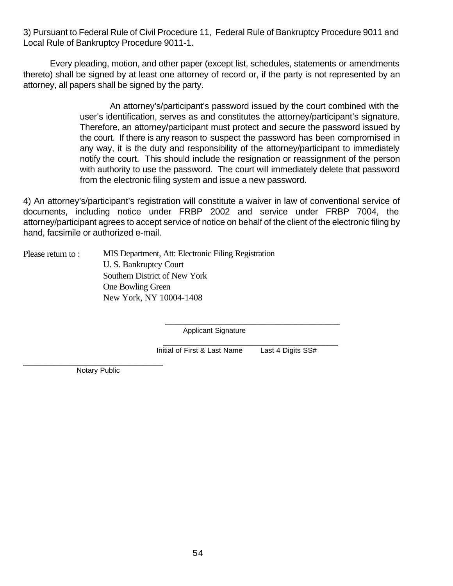3) Pursuant to Federal Rule of Civil Procedure 11, Federal Rule of Bankruptcy Procedure 9011 and Local Rule of Bankruptcy Procedure 9011-1.

Every pleading, motion, and other paper (except list, schedules, statements or amendments thereto) shall be signed by at least one attorney of record or, if the party is not represented by an attorney, all papers shall be signed by the party.

> An attorney's/participant's password issued by the court combined with the user's identification, serves as and constitutes the attorney/participant's signature. Therefore, an attorney/participant must protect and secure the password issued by the court. If there is any reason to suspect the password has been compromised in any way, it is the duty and responsibility of the attorney/participant to immediately notify the court. This should include the resignation or reassignment of the person with authority to use the password. The court will immediately delete that password from the electronic filing system and issue a new password.

4) An attorney's/participant's registration will constitute a waiver in law of conventional service of documents, including notice under FRBP 2002 and service under FRBP 7004, the attorney/participant agrees to accept service of notice on behalf of the client of the electronic filing by hand, facsimile or authorized e-mail.

| Please return to: | MIS Department, Att: Electronic Filing Registration |
|-------------------|-----------------------------------------------------|
|                   | U. S. Bankruptcy Court                              |
|                   | Southern District of New York                       |
|                   | One Bowling Green                                   |
|                   | New York, NY 10004-1408                             |

Applicant Signature

 \_\_\_\_\_\_\_\_\_\_\_\_\_\_\_\_\_\_\_\_\_\_\_\_\_\_\_\_\_\_\_\_\_\_\_ Initial of First & Last Name Last 4 Digits SS#

 $\overline{\phantom{a}}$  ,  $\overline{\phantom{a}}$  ,  $\overline{\phantom{a}}$  ,  $\overline{\phantom{a}}$  ,  $\overline{\phantom{a}}$  ,  $\overline{\phantom{a}}$  ,  $\overline{\phantom{a}}$  ,  $\overline{\phantom{a}}$  ,  $\overline{\phantom{a}}$  ,  $\overline{\phantom{a}}$  ,  $\overline{\phantom{a}}$  ,  $\overline{\phantom{a}}$  ,  $\overline{\phantom{a}}$  ,  $\overline{\phantom{a}}$  ,  $\overline{\phantom{a}}$  ,  $\overline{\phantom{a}}$ 

\_\_\_\_\_\_\_\_\_\_\_\_\_\_\_\_\_\_\_\_\_\_\_\_\_\_\_\_ Notary Public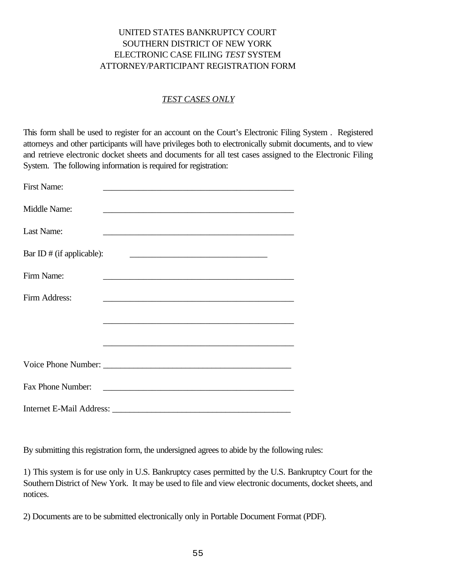## UNITED STATES BANKRUPTCY COURT SOUTHERN DISTRICT OF NEW YORK ELECTRONIC CASE FILING *TEST* SYSTEM ATTORNEY/PARTICIPANT REGISTRATION FORM

## *TEST CASES ONLY*

This form shall be used to register for an account on the Court's Electronic Filing System . Registered attorneys and other participants will have privileges both to electronically submit documents, and to view and retrieve electronic docket sheets and documents for all test cases assigned to the Electronic Filing System. The following information is required for registration:

| First Name:               |                                                                     |
|---------------------------|---------------------------------------------------------------------|
| Middle Name:              | <u> 1980 - Jan James James Barbara, martxa al II-lea (h. 1980).</u> |
| Last Name:                |                                                                     |
| Bar ID # (if applicable): | <u> 2000 - Jan James James Barnett, fransk politik (d. 1</u>        |
| Firm Name:                |                                                                     |
| Firm Address:             |                                                                     |
|                           |                                                                     |
|                           |                                                                     |
|                           |                                                                     |
| Fax Phone Number:         |                                                                     |
|                           |                                                                     |

By submitting this registration form, the undersigned agrees to abide by the following rules:

1) This system is for use only in U.S. Bankruptcy cases permitted by the U.S. Bankruptcy Court for the Southern District of New York. It may be used to file and view electronic documents, docket sheets, and notices.

2) Documents are to be submitted electronically only in Portable Document Format (PDF).